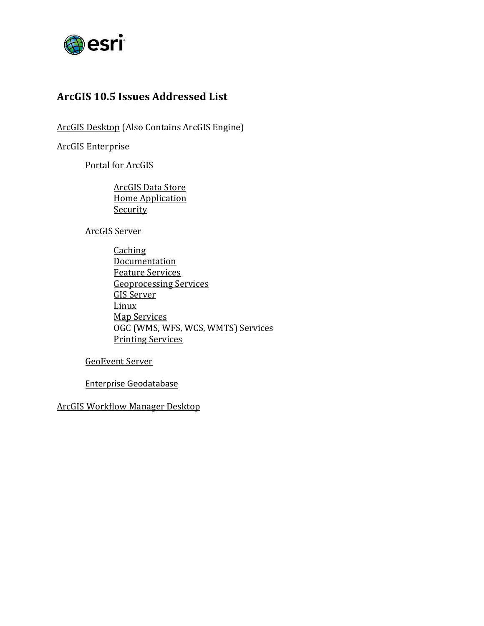

## <span id="page-0-0"></span>**ArcGIS 10.5 Issues Addressed List**

ArcGIS [Desktop](#page-1-0) (Also Contains ArcGIS Engine)

ArcGIS Enterprise

Portal for ArcGIS

[ArcGIS Data](#page-16-0) Store [Home Application](#page-16-1) **[Security](#page-19-0)** 

ArcGIS Server

**[Caching](#page-20-0) [Documentation](#page-20-1)** [Feature Services](#page-21-0) [Geoprocessing Services](#page-22-0) [GIS Server](#page-22-1) [Linux](#page-24-0) [Map Services](#page-24-1) [OGC \(WMS, WFS, WCS, WMTS\) Services](#page-25-0) [Printing Services](#page-25-1)

[GeoEvent Server](#page-26-0)

[Enterprise Geodatabase](#page-27-0)

[ArcGIS Workflow Manager](#page-29-0) Desktop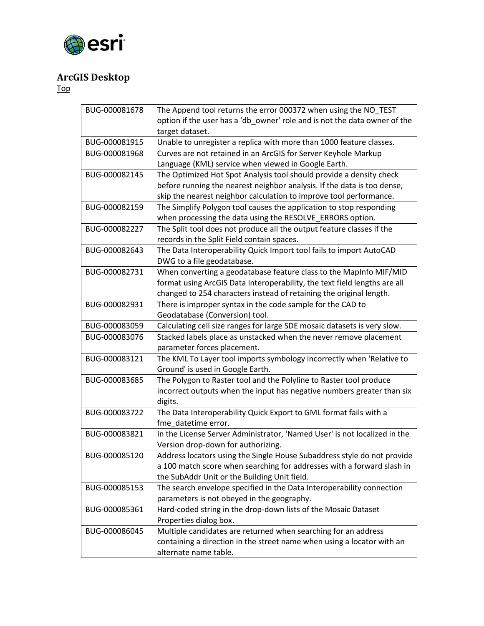

# <span id="page-1-0"></span>**ArcGIS Desktop**

| BUG-000081678 | The Append tool returns the error 000372 when using the NO TEST           |
|---------------|---------------------------------------------------------------------------|
|               | option if the user has a 'db_owner' role and is not the data owner of the |
|               | target dataset.                                                           |
| BUG-000081915 | Unable to unregister a replica with more than 1000 feature classes.       |
| BUG-000081968 | Curves are not retained in an ArcGIS for Server Keyhole Markup            |
|               | Language (KML) service when viewed in Google Earth.                       |
| BUG-000082145 | The Optimized Hot Spot Analysis tool should provide a density check       |
|               | before running the nearest neighbor analysis. If the data is too dense,   |
|               | skip the nearest neighbor calculation to improve tool performance.        |
| BUG-000082159 | The Simplify Polygon tool causes the application to stop responding       |
|               | when processing the data using the RESOLVE_ERRORS option.                 |
| BUG-000082227 | The Split tool does not produce all the output feature classes if the     |
|               | records in the Split Field contain spaces.                                |
| BUG-000082643 | The Data Interoperability Quick Import tool fails to import AutoCAD       |
|               | DWG to a file geodatabase.                                                |
| BUG-000082731 | When converting a geodatabase feature class to the MapInfo MIF/MID        |
|               | format using ArcGIS Data Interoperability, the text field lengths are all |
|               | changed to 254 characters instead of retaining the original length.       |
| BUG-000082931 | There is improper syntax in the code sample for the CAD to                |
|               | Geodatabase (Conversion) tool.                                            |
| BUG-000083059 | Calculating cell size ranges for large SDE mosaic datasets is very slow.  |
| BUG-000083076 | Stacked labels place as unstacked when the never remove placement         |
|               | parameter forces placement.                                               |
| BUG-000083121 | The KML To Layer tool imports symbology incorrectly when 'Relative to     |
|               | Ground' is used in Google Earth.                                          |
| BUG-000083685 | The Polygon to Raster tool and the Polyline to Raster tool produce        |
|               | incorrect outputs when the input has negative numbers greater than six    |
|               | digits.                                                                   |
| BUG-000083722 | The Data Interoperability Quick Export to GML format fails with a         |
|               | fme datetime error.                                                       |
| BUG-000083821 | In the License Server Administrator, 'Named User' is not localized in the |
|               | Version drop-down for authorizing.                                        |
| BUG-000085120 | Address locators using the Single House Subaddress style do not provide   |
|               | a 100 match score when searching for addresses with a forward slash in    |
|               | the SubAddr Unit or the Building Unit field.                              |
| BUG-000085153 | The search envelope specified in the Data Interoperability connection     |
|               | parameters is not obeyed in the geography.                                |
| BUG-000085361 | Hard-coded string in the drop-down lists of the Mosaic Dataset            |
|               | Properties dialog box.                                                    |
| BUG-000086045 | Multiple candidates are returned when searching for an address            |
|               | containing a direction in the street name when using a locator with an    |
|               | alternate name table.                                                     |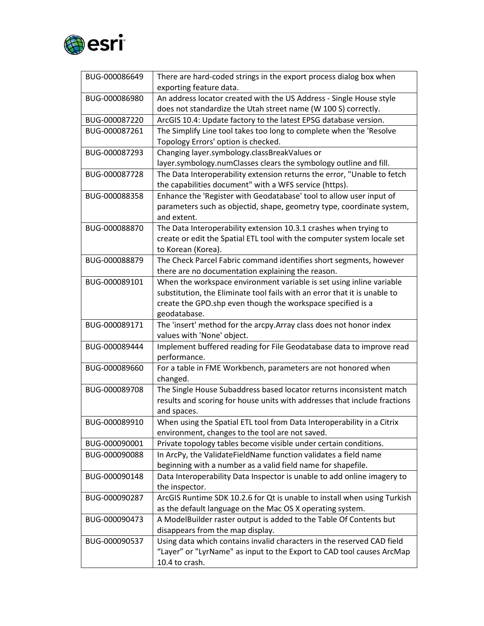

| BUG-000086649 | There are hard-coded strings in the export process dialog box when<br>exporting feature data.                                         |
|---------------|---------------------------------------------------------------------------------------------------------------------------------------|
| BUG-000086980 | An address locator created with the US Address - Single House style<br>does not standardize the Utah street name (W 100 S) correctly. |
| BUG-000087220 | ArcGIS 10.4: Update factory to the latest EPSG database version.                                                                      |
| BUG-000087261 | The Simplify Line tool takes too long to complete when the 'Resolve                                                                   |
|               | Topology Errors' option is checked.                                                                                                   |
| BUG-000087293 | Changing layer.symbology.classBreakValues or                                                                                          |
|               | layer.symbology.numClasses clears the symbology outline and fill.                                                                     |
| BUG-000087728 | The Data Interoperability extension returns the error, "Unable to fetch                                                               |
|               | the capabilities document" with a WFS service (https).                                                                                |
| BUG-000088358 | Enhance the 'Register with Geodatabase' tool to allow user input of                                                                   |
|               | parameters such as objectid, shape, geometry type, coordinate system,                                                                 |
|               | and extent.                                                                                                                           |
| BUG-000088870 | The Data Interoperability extension 10.3.1 crashes when trying to                                                                     |
|               | create or edit the Spatial ETL tool with the computer system locale set                                                               |
|               | to Korean (Korea).                                                                                                                    |
| BUG-000088879 | The Check Parcel Fabric command identifies short segments, however                                                                    |
|               | there are no documentation explaining the reason.                                                                                     |
| BUG-000089101 | When the workspace environment variable is set using inline variable                                                                  |
|               | substitution, the Eliminate tool fails with an error that it is unable to                                                             |
|               | create the GPO.shp even though the workspace specified is a                                                                           |
|               | geodatabase.                                                                                                                          |
| BUG-000089171 | The 'insert' method for the arcpy. Array class does not honor index                                                                   |
|               | values with 'None' object.                                                                                                            |
| BUG-000089444 | Implement buffered reading for File Geodatabase data to improve read<br>performance.                                                  |
| BUG-000089660 | For a table in FME Workbench, parameters are not honored when                                                                         |
|               | changed.                                                                                                                              |
| BUG-000089708 | The Single House Subaddress based locator returns inconsistent match                                                                  |
|               | results and scoring for house units with addresses that include fractions                                                             |
|               | and spaces.                                                                                                                           |
| BUG-000089910 | When using the Spatial ETL tool from Data Interoperability in a Citrix                                                                |
|               | environment, changes to the tool are not saved.                                                                                       |
| BUG-000090001 | Private topology tables become visible under certain conditions.                                                                      |
| BUG-000090088 | In ArcPy, the ValidateFieldName function validates a field name                                                                       |
|               | beginning with a number as a valid field name for shapefile.                                                                          |
| BUG-000090148 | Data Interoperability Data Inspector is unable to add online imagery to                                                               |
|               | the inspector.                                                                                                                        |
| BUG-000090287 | ArcGIS Runtime SDK 10.2.6 for Qt is unable to install when using Turkish<br>as the default language on the Mac OS X operating system. |
| BUG-000090473 | A ModelBuilder raster output is added to the Table Of Contents but                                                                    |
|               | disappears from the map display.                                                                                                      |
| BUG-000090537 | Using data which contains invalid characters in the reserved CAD field                                                                |
|               | "Layer" or "LyrName" as input to the Export to CAD tool causes ArcMap                                                                 |
|               | 10.4 to crash.                                                                                                                        |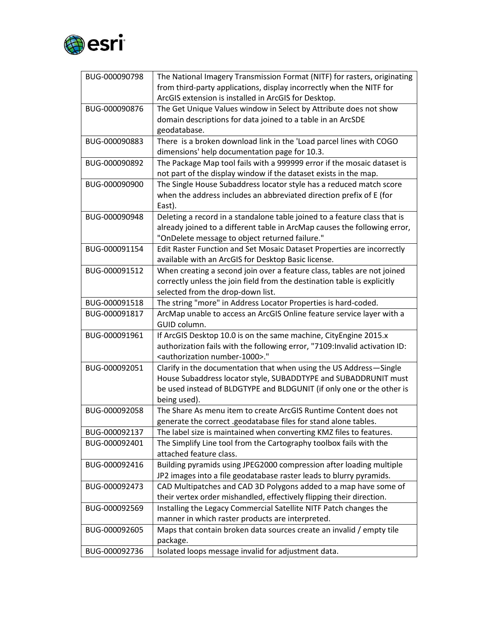

| BUG-000090798 | The National Imagery Transmission Format (NITF) for rasters, originating    |
|---------------|-----------------------------------------------------------------------------|
|               | from third-party applications, display incorrectly when the NITF for        |
|               | ArcGIS extension is installed in ArcGIS for Desktop.                        |
| BUG-000090876 | The Get Unique Values window in Select by Attribute does not show           |
|               | domain descriptions for data joined to a table in an ArcSDE                 |
|               | geodatabase.                                                                |
| BUG-000090883 | There is a broken download link in the 'Load parcel lines with COGO         |
|               | dimensions' help documentation page for 10.3.                               |
| BUG-000090892 | The Package Map tool fails with a 999999 error if the mosaic dataset is     |
|               | not part of the display window if the dataset exists in the map.            |
| BUG-000090900 | The Single House Subaddress locator style has a reduced match score         |
|               | when the address includes an abbreviated direction prefix of E (for         |
|               | East).                                                                      |
| BUG-000090948 | Deleting a record in a standalone table joined to a feature class that is   |
|               | already joined to a different table in ArcMap causes the following error,   |
|               | "OnDelete message to object returned failure."                              |
| BUG-000091154 | Edit Raster Function and Set Mosaic Dataset Properties are incorrectly      |
|               | available with an ArcGIS for Desktop Basic license.                         |
| BUG-000091512 | When creating a second join over a feature class, tables are not joined     |
|               | correctly unless the join field from the destination table is explicitly    |
|               | selected from the drop-down list.                                           |
| BUG-000091518 | The string "more" in Address Locator Properties is hard-coded.              |
| BUG-000091817 | ArcMap unable to access an ArcGIS Online feature service layer with a       |
|               | GUID column.                                                                |
| BUG-000091961 | If ArcGIS Desktop 10.0 is on the same machine, CityEngine 2015.x            |
|               | authorization fails with the following error, "7109: Invalid activation ID: |
|               | <authorization number-1000="">."</authorization>                            |
| BUG-000092051 | Clarify in the documentation that when using the US Address-Single          |
|               | House Subaddress locator style, SUBADDTYPE and SUBADDRUNIT must             |
|               | be used instead of BLDGTYPE and BLDGUNIT (if only one or the other is       |
|               | being used).                                                                |
| BUG-000092058 | The Share As menu item to create ArcGIS Runtime Content does not            |
|               | generate the correct .geodatabase files for stand alone tables.             |
| BUG-000092137 | The label size is maintained when converting KMZ files to features.         |
| BUG-000092401 | The Simplify Line tool from the Cartography toolbox fails with the          |
|               | attached feature class.                                                     |
| BUG-000092416 | Building pyramids using JPEG2000 compression after loading multiple         |
|               | JP2 images into a file geodatabase raster leads to blurry pyramids.         |
| BUG-000092473 | CAD Multipatches and CAD 3D Polygons added to a map have some of            |
|               | their vertex order mishandled, effectively flipping their direction.        |
| BUG-000092569 | Installing the Legacy Commercial Satellite NITF Patch changes the           |
|               | manner in which raster products are interpreted.                            |
| BUG-000092605 | Maps that contain broken data sources create an invalid / empty tile        |
|               | package.                                                                    |
| BUG-000092736 | Isolated loops message invalid for adjustment data.                         |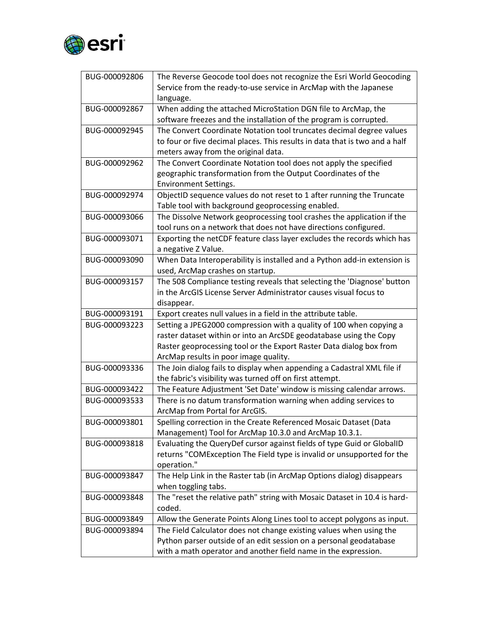

| BUG-000092806 | The Reverse Geocode tool does not recognize the Esri World Geocoding        |
|---------------|-----------------------------------------------------------------------------|
|               | Service from the ready-to-use service in ArcMap with the Japanese           |
|               | language.                                                                   |
| BUG-000092867 | When adding the attached MicroStation DGN file to ArcMap, the               |
|               | software freezes and the installation of the program is corrupted.          |
| BUG-000092945 | The Convert Coordinate Notation tool truncates decimal degree values        |
|               | to four or five decimal places. This results in data that is two and a half |
|               | meters away from the original data.                                         |
| BUG-000092962 | The Convert Coordinate Notation tool does not apply the specified           |
|               | geographic transformation from the Output Coordinates of the                |
|               | <b>Environment Settings.</b>                                                |
| BUG-000092974 | ObjectID sequence values do not reset to 1 after running the Truncate       |
|               | Table tool with background geoprocessing enabled.                           |
| BUG-000093066 | The Dissolve Network geoprocessing tool crashes the application if the      |
|               | tool runs on a network that does not have directions configured.            |
| BUG-000093071 | Exporting the netCDF feature class layer excludes the records which has     |
|               | a negative Z Value.                                                         |
| BUG-000093090 | When Data Interoperability is installed and a Python add-in extension is    |
|               | used, ArcMap crashes on startup.                                            |
| BUG-000093157 | The 508 Compliance testing reveals that selecting the 'Diagnose' button     |
|               | in the ArcGIS License Server Administrator causes visual focus to           |
|               | disappear.                                                                  |
| BUG-000093191 | Export creates null values in a field in the attribute table.               |
| BUG-000093223 | Setting a JPEG2000 compression with a quality of 100 when copying a         |
|               | raster dataset within or into an ArcSDE geodatabase using the Copy          |
|               | Raster geoprocessing tool or the Export Raster Data dialog box from         |
|               | ArcMap results in poor image quality.                                       |
| BUG-000093336 | The Join dialog fails to display when appending a Cadastral XML file if     |
|               | the fabric's visibility was turned off on first attempt.                    |
| BUG-000093422 | The Feature Adjustment 'Set Date' window is missing calendar arrows.        |
| BUG-000093533 | There is no datum transformation warning when adding services to            |
|               | ArcMap from Portal for ArcGIS.                                              |
| BUG-000093801 | Spelling correction in the Create Referenced Mosaic Dataset (Data           |
|               | Management) Tool for ArcMap 10.3.0 and ArcMap 10.3.1.                       |
| BUG-000093818 | Evaluating the QueryDef cursor against fields of type Guid or GlobalID      |
|               | returns "COMException The Field type is invalid or unsupported for the      |
|               | operation."                                                                 |
| BUG-000093847 | The Help Link in the Raster tab (in ArcMap Options dialog) disappears       |
|               | when toggling tabs.                                                         |
| BUG-000093848 | The "reset the relative path" string with Mosaic Dataset in 10.4 is hard-   |
|               | coded.                                                                      |
| BUG-000093849 | Allow the Generate Points Along Lines tool to accept polygons as input.     |
| BUG-000093894 | The Field Calculator does not change existing values when using the         |
|               | Python parser outside of an edit session on a personal geodatabase          |
|               | with a math operator and another field name in the expression.              |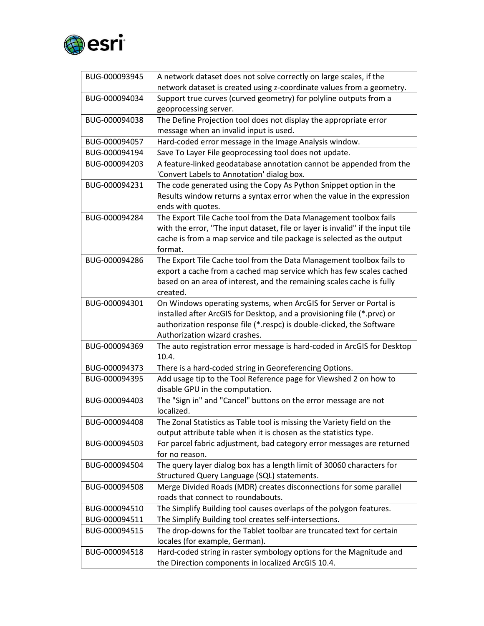

| BUG-000093945 | A network dataset does not solve correctly on large scales, if the               |
|---------------|----------------------------------------------------------------------------------|
|               | network dataset is created using z-coordinate values from a geometry.            |
| BUG-000094034 | Support true curves (curved geometry) for polyline outputs from a                |
|               | geoprocessing server.                                                            |
| BUG-000094038 | The Define Projection tool does not display the appropriate error                |
|               | message when an invalid input is used.                                           |
| BUG-000094057 | Hard-coded error message in the Image Analysis window.                           |
| BUG-000094194 | Save To Layer File geoprocessing tool does not update.                           |
| BUG-000094203 | A feature-linked geodatabase annotation cannot be appended from the              |
|               | 'Convert Labels to Annotation' dialog box.                                       |
| BUG-000094231 | The code generated using the Copy As Python Snippet option in the                |
|               | Results window returns a syntax error when the value in the expression           |
|               | ends with quotes.                                                                |
| BUG-000094284 | The Export Tile Cache tool from the Data Management toolbox fails                |
|               | with the error, "The input dataset, file or layer is invalid" if the input tile  |
|               | cache is from a map service and tile package is selected as the output           |
|               | format.                                                                          |
| BUG-000094286 | The Export Tile Cache tool from the Data Management toolbox fails to             |
|               | export a cache from a cached map service which has few scales cached             |
|               | based on an area of interest, and the remaining scales cache is fully            |
|               | created.                                                                         |
| BUG-000094301 | On Windows operating systems, when ArcGIS for Server or Portal is                |
|               | installed after ArcGIS for Desktop, and a provisioning file (*.prvc) or          |
|               | authorization response file (*.respc) is double-clicked, the Software            |
|               | Authorization wizard crashes.                                                    |
| BUG-000094369 | The auto registration error message is hard-coded in ArcGIS for Desktop<br>10.4. |
| BUG-000094373 | There is a hard-coded string in Georeferencing Options.                          |
| BUG-000094395 | Add usage tip to the Tool Reference page for Viewshed 2 on how to                |
|               | disable GPU in the computation.                                                  |
| BUG-000094403 | The "Sign in" and "Cancel" buttons on the error message are not                  |
|               | localized.                                                                       |
| BUG-000094408 | The Zonal Statistics as Table tool is missing the Variety field on the           |
|               | output attribute table when it is chosen as the statistics type.                 |
| BUG-000094503 | For parcel fabric adjustment, bad category error messages are returned           |
|               | for no reason.                                                                   |
| BUG-000094504 | The query layer dialog box has a length limit of 30060 characters for            |
|               | Structured Query Language (SQL) statements.                                      |
| BUG-000094508 | Merge Divided Roads (MDR) creates disconnections for some parallel               |
|               | roads that connect to roundabouts.                                               |
| BUG-000094510 | The Simplify Building tool causes overlaps of the polygon features.              |
| BUG-000094511 | The Simplify Building tool creates self-intersections.                           |
| BUG-000094515 | The drop-downs for the Tablet toolbar are truncated text for certain             |
|               | locales (for example, German).                                                   |
| BUG-000094518 | Hard-coded string in raster symbology options for the Magnitude and              |
|               | the Direction components in localized ArcGIS 10.4.                               |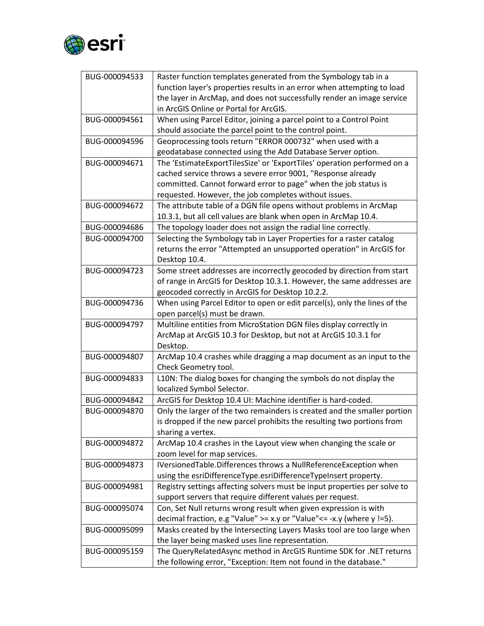

| BUG-000094533 | Raster function templates generated from the Symbology tab in a           |
|---------------|---------------------------------------------------------------------------|
|               | function layer's properties results in an error when attempting to load   |
|               | the layer in ArcMap, and does not successfully render an image service    |
|               | in ArcGIS Online or Portal for ArcGIS.                                    |
| BUG-000094561 | When using Parcel Editor, joining a parcel point to a Control Point       |
|               | should associate the parcel point to the control point.                   |
| BUG-000094596 | Geoprocessing tools return "ERROR 000732" when used with a                |
|               | geodatabase connected using the Add Database Server option.               |
| BUG-000094671 | The 'EstimateExportTilesSize' or 'ExportTiles' operation performed on a   |
|               | cached service throws a severe error 9001, "Response already              |
|               | committed. Cannot forward error to page" when the job status is           |
|               | requested. However, the job completes without issues.                     |
| BUG-000094672 | The attribute table of a DGN file opens without problems in ArcMap        |
|               | 10.3.1, but all cell values are blank when open in ArcMap 10.4.           |
| BUG-000094686 | The topology loader does not assign the radial line correctly.            |
| BUG-000094700 | Selecting the Symbology tab in Layer Properties for a raster catalog      |
|               | returns the error "Attempted an unsupported operation" in ArcGIS for      |
|               | Desktop 10.4.                                                             |
| BUG-000094723 | Some street addresses are incorrectly geocoded by direction from start    |
|               | of range in ArcGIS for Desktop 10.3.1. However, the same addresses are    |
|               | geocoded correctly in ArcGIS for Desktop 10.2.2.                          |
| BUG-000094736 | When using Parcel Editor to open or edit parcel(s), only the lines of the |
|               | open parcel(s) must be drawn.                                             |
| BUG-000094797 | Multiline entities from MicroStation DGN files display correctly in       |
|               | ArcMap at ArcGIS 10.3 for Desktop, but not at ArcGIS 10.3.1 for           |
|               | Desktop.                                                                  |
| BUG-000094807 | ArcMap 10.4 crashes while dragging a map document as an input to the      |
|               | Check Geometry tool.                                                      |
| BUG-000094833 | L10N: The dialog boxes for changing the symbols do not display the        |
|               | localized Symbol Selector.                                                |
| BUG-000094842 | ArcGIS for Desktop 10.4 UI: Machine identifier is hard-coded.             |
| BUG-000094870 | Only the larger of the two remainders is created and the smaller portion  |
|               | is dropped if the new parcel prohibits the resulting two portions from    |
|               | sharing a vertex.                                                         |
| BUG-000094872 | ArcMap 10.4 crashes in the Layout view when changing the scale or         |
|               | zoom level for map services.                                              |
| BUG-000094873 | IVersionedTable.Differences throws a NullReferenceException when          |
|               | using the esriDifferenceType.esriDifferenceTypeInsert property.           |
| BUG-000094981 | Registry settings affecting solvers must be input properties per solve to |
|               | support servers that require different values per request.                |
| BUG-000095074 | Con, Set Null returns wrong result when given expression is with          |
|               | decimal fraction, e.g "Value" >= x.y or "Value" <= -x.y (where $y$ !=5).  |
| BUG-000095099 | Masks created by the Intersecting Layers Masks tool are too large when    |
|               | the layer being masked uses line representation.                          |
| BUG-000095159 | The QueryRelatedAsync method in ArcGIS Runtime SDK for .NET returns       |
|               | the following error, "Exception: Item not found in the database."         |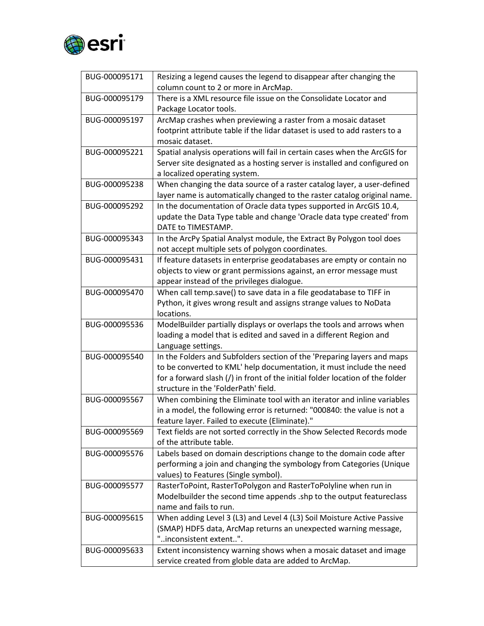

| BUG-000095171 | Resizing a legend causes the legend to disappear after changing the<br>column count to 2 or more in ArcMap.                 |
|---------------|-----------------------------------------------------------------------------------------------------------------------------|
| BUG-000095179 | There is a XML resource file issue on the Consolidate Locator and<br>Package Locator tools.                                 |
| BUG-000095197 | ArcMap crashes when previewing a raster from a mosaic dataset                                                               |
|               | footprint attribute table if the lidar dataset is used to add rasters to a<br>mosaic dataset.                               |
| BUG-000095221 | Spatial analysis operations will fail in certain cases when the ArcGIS for                                                  |
|               | Server site designated as a hosting server is installed and configured on                                                   |
|               | a localized operating system.                                                                                               |
| BUG-000095238 | When changing the data source of a raster catalog layer, a user-defined                                                     |
|               | layer name is automatically changed to the raster catalog original name.                                                    |
| BUG-000095292 | In the documentation of Oracle data types supported in ArcGIS 10.4,                                                         |
|               | update the Data Type table and change 'Oracle data type created' from                                                       |
|               | DATE to TIMESTAMP.                                                                                                          |
| BUG-000095343 | In the ArcPy Spatial Analyst module, the Extract By Polygon tool does                                                       |
|               | not accept multiple sets of polygon coordinates.                                                                            |
| BUG-000095431 | If feature datasets in enterprise geodatabases are empty or contain no                                                      |
|               | objects to view or grant permissions against, an error message must                                                         |
|               | appear instead of the privileges dialogue.                                                                                  |
| BUG-000095470 | When call temp.save() to save data in a file geodatabase to TIFF in                                                         |
|               | Python, it gives wrong result and assigns strange values to NoData<br>locations.                                            |
|               |                                                                                                                             |
|               |                                                                                                                             |
| BUG-000095536 | ModelBuilder partially displays or overlaps the tools and arrows when                                                       |
|               | loading a model that is edited and saved in a different Region and                                                          |
|               | Language settings.                                                                                                          |
| BUG-000095540 | In the Folders and Subfolders section of the 'Preparing layers and maps                                                     |
|               | to be converted to KML' help documentation, it must include the need                                                        |
|               | for a forward slash (/) in front of the initial folder location of the folder                                               |
|               | structure in the 'FolderPath' field.                                                                                        |
| BUG-000095567 | When combining the Eliminate tool with an iterator and inline variables                                                     |
|               | in a model, the following error is returned: "000840: the value is not a<br>feature layer. Failed to execute (Eliminate)."  |
| BUG-000095569 | Text fields are not sorted correctly in the Show Selected Records mode                                                      |
|               | of the attribute table.                                                                                                     |
| BUG-000095576 | Labels based on domain descriptions change to the domain code after                                                         |
|               | performing a join and changing the symbology from Categories (Unique                                                        |
|               | values) to Features (Single symbol).                                                                                        |
| BUG-000095577 | RasterToPoint, RasterToPolygon and RasterToPolyline when run in                                                             |
|               | Modelbuilder the second time appends .shp to the output featureclass                                                        |
|               | name and fails to run.                                                                                                      |
| BUG-000095615 | When adding Level 3 (L3) and Level 4 (L3) Soil Moisture Active Passive                                                      |
|               | (SMAP) HDF5 data, ArcMap returns an unexpected warning message,                                                             |
|               | "inconsistent extent".                                                                                                      |
| BUG-000095633 | Extent inconsistency warning shows when a mosaic dataset and image<br>service created from globle data are added to ArcMap. |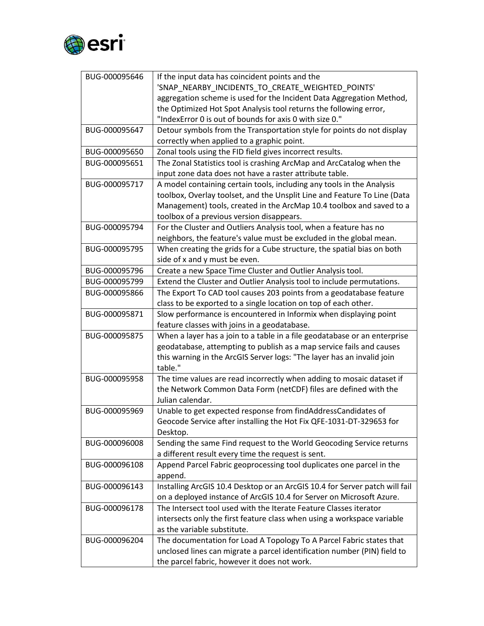

| BUG-000095646 | If the input data has coincident points and the                             |
|---------------|-----------------------------------------------------------------------------|
|               | 'SNAP_NEARBY_INCIDENTS_TO_CREATE_WEIGHTED_POINTS'                           |
|               | aggregation scheme is used for the Incident Data Aggregation Method,        |
|               | the Optimized Hot Spot Analysis tool returns the following error,           |
|               | "IndexError 0 is out of bounds for axis 0 with size 0."                     |
| BUG-000095647 | Detour symbols from the Transportation style for points do not display      |
|               | correctly when applied to a graphic point.                                  |
| BUG-000095650 | Zonal tools using the FID field gives incorrect results.                    |
| BUG-000095651 | The Zonal Statistics tool is crashing ArcMap and ArcCatalog when the        |
|               | input zone data does not have a raster attribute table.                     |
| BUG-000095717 | A model containing certain tools, including any tools in the Analysis       |
|               | toolbox, Overlay toolset, and the Unsplit Line and Feature To Line (Data    |
|               | Management) tools, created in the ArcMap 10.4 toolbox and saved to a        |
|               | toolbox of a previous version disappears.                                   |
| BUG-000095794 | For the Cluster and Outliers Analysis tool, when a feature has no           |
|               | neighbors, the feature's value must be excluded in the global mean.         |
| BUG-000095795 | When creating the grids for a Cube structure, the spatial bias on both      |
|               | side of x and y must be even.                                               |
| BUG-000095796 | Create a new Space Time Cluster and Outlier Analysis tool.                  |
| BUG-000095799 | Extend the Cluster and Outlier Analysis tool to include permutations.       |
| BUG-000095866 | The Export To CAD tool causes 203 points from a geodatabase feature         |
|               | class to be exported to a single location on top of each other.             |
| BUG-000095871 | Slow performance is encountered in Informix when displaying point           |
|               | feature classes with joins in a geodatabase.                                |
| BUG-000095875 | When a layer has a join to a table in a file geodatabase or an enterprise   |
|               | geodatabase, attempting to publish as a map service fails and causes        |
|               | this warning in the ArcGIS Server logs: "The layer has an invalid join      |
|               | table."                                                                     |
| BUG-000095958 | The time values are read incorrectly when adding to mosaic dataset if       |
|               | the Network Common Data Form (netCDF) files are defined with the            |
|               | Julian calendar.                                                            |
| BUG-000095969 | Unable to get expected response from findAddressCandidates of               |
|               | Geocode Service after installing the Hot Fix QFE-1031-DT-329653 for         |
|               | Desktop.                                                                    |
| BUG-000096008 | Sending the same Find request to the World Geocoding Service returns        |
|               | a different result every time the request is sent.                          |
| BUG-000096108 | Append Parcel Fabric geoprocessing tool duplicates one parcel in the        |
|               | append.                                                                     |
| BUG-000096143 | Installing ArcGIS 10.4 Desktop or an ArcGIS 10.4 for Server patch will fail |
|               | on a deployed instance of ArcGIS 10.4 for Server on Microsoft Azure.        |
| BUG-000096178 | The Intersect tool used with the Iterate Feature Classes iterator           |
|               | intersects only the first feature class when using a workspace variable     |
|               | as the variable substitute.                                                 |
| BUG-000096204 | The documentation for Load A Topology To A Parcel Fabric states that        |
|               | unclosed lines can migrate a parcel identification number (PIN) field to    |
|               | the parcel fabric, however it does not work.                                |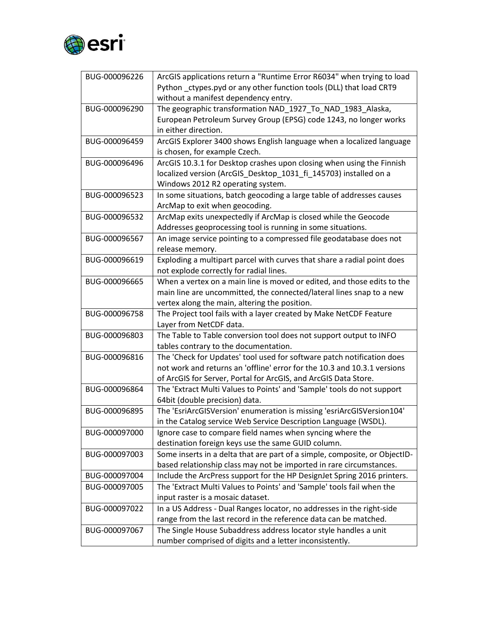

| BUG-000096226 | ArcGIS applications return a "Runtime Error R6034" when trying to load     |
|---------------|----------------------------------------------------------------------------|
|               | Python _ctypes.pyd or any other function tools (DLL) that load CRT9        |
|               | without a manifest dependency entry.                                       |
| BUG-000096290 | The geographic transformation NAD_1927_To_NAD_1983_Alaska,                 |
|               | European Petroleum Survey Group (EPSG) code 1243, no longer works          |
|               | in either direction.                                                       |
| BUG-000096459 | ArcGIS Explorer 3400 shows English language when a localized language      |
|               | is chosen, for example Czech.                                              |
| BUG-000096496 | ArcGIS 10.3.1 for Desktop crashes upon closing when using the Finnish      |
|               | localized version (ArcGIS Desktop 1031 fi 145703) installed on a           |
|               | Windows 2012 R2 operating system.                                          |
| BUG-000096523 | In some situations, batch geocoding a large table of addresses causes      |
|               | ArcMap to exit when geocoding.                                             |
| BUG-000096532 | ArcMap exits unexpectedly if ArcMap is closed while the Geocode            |
|               | Addresses geoprocessing tool is running in some situations.                |
| BUG-000096567 | An image service pointing to a compressed file geodatabase does not        |
|               | release memory.                                                            |
| BUG-000096619 | Exploding a multipart parcel with curves that share a radial point does    |
|               | not explode correctly for radial lines.                                    |
| BUG-000096665 | When a vertex on a main line is moved or edited, and those edits to the    |
|               | main line are uncommitted, the connected/lateral lines snap to a new       |
|               | vertex along the main, altering the position.                              |
| BUG-000096758 | The Project tool fails with a layer created by Make NetCDF Feature         |
|               | Layer from NetCDF data.                                                    |
| BUG-000096803 | The Table to Table conversion tool does not support output to INFO         |
|               | tables contrary to the documentation.                                      |
| BUG-000096816 | The 'Check for Updates' tool used for software patch notification does     |
|               | not work and returns an 'offline' error for the 10.3 and 10.3.1 versions   |
|               | of ArcGIS for Server, Portal for ArcGIS, and ArcGIS Data Store.            |
| BUG-000096864 | The 'Extract Multi Values to Points' and 'Sample' tools do not support     |
|               | 64bit (double precision) data.                                             |
| BUG-000096895 | The 'EsriArcGISVersion' enumeration is missing 'esriArcGISVersion104'      |
|               | in the Catalog service Web Service Description Language (WSDL).            |
| BUG-000097000 | Ignore case to compare field names when syncing where the                  |
|               | destination foreign keys use the same GUID column.                         |
| BUG-000097003 | Some inserts in a delta that are part of a simple, composite, or ObjectID- |
|               | based relationship class may not be imported in rare circumstances.        |
| BUG-000097004 | Include the ArcPress support for the HP DesignJet Spring 2016 printers.    |
| BUG-000097005 | The 'Extract Multi Values to Points' and 'Sample' tools fail when the      |
|               | input raster is a mosaic dataset.                                          |
| BUG-000097022 | In a US Address - Dual Ranges locator, no addresses in the right-side      |
|               | range from the last record in the reference data can be matched.           |
| BUG-000097067 | The Single House Subaddress address locator style handles a unit           |
|               | number comprised of digits and a letter inconsistently.                    |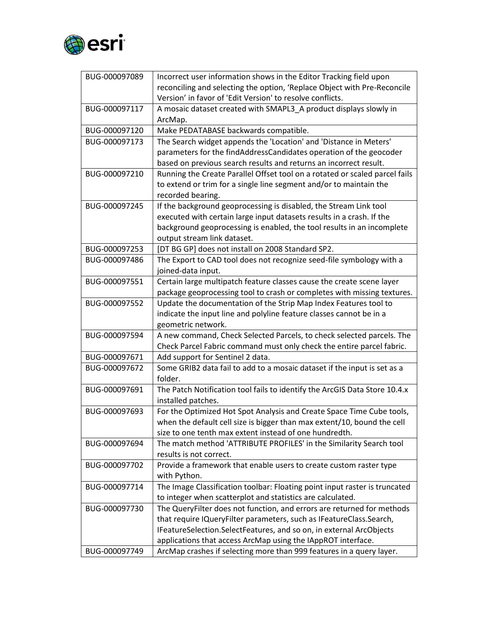

| BUG-000097089 | Incorrect user information shows in the Editor Tracking field upon<br>reconciling and selecting the option, 'Replace Object with Pre-Reconcile |
|---------------|------------------------------------------------------------------------------------------------------------------------------------------------|
|               | Version' in favor of 'Edit Version' to resolve conflicts.                                                                                      |
| BUG-000097117 | A mosaic dataset created with SMAPL3_A product displays slowly in<br>ArcMap.                                                                   |
| BUG-000097120 | Make PEDATABASE backwards compatible.                                                                                                          |
| BUG-000097173 | The Search widget appends the 'Location' and 'Distance in Meters'                                                                              |
|               | parameters for the findAddressCandidates operation of the geocoder                                                                             |
|               | based on previous search results and returns an incorrect result.                                                                              |
| BUG-000097210 | Running the Create Parallel Offset tool on a rotated or scaled parcel fails                                                                    |
|               | to extend or trim for a single line segment and/or to maintain the                                                                             |
|               | recorded bearing.                                                                                                                              |
| BUG-000097245 | If the background geoprocessing is disabled, the Stream Link tool                                                                              |
|               | executed with certain large input datasets results in a crash. If the                                                                          |
|               | background geoprocessing is enabled, the tool results in an incomplete                                                                         |
|               | output stream link dataset.                                                                                                                    |
| BUG-000097253 | [DT BG GP] does not install on 2008 Standard SP2.                                                                                              |
| BUG-000097486 | The Export to CAD tool does not recognize seed-file symbology with a                                                                           |
|               | joined-data input.                                                                                                                             |
| BUG-000097551 | Certain large multipatch feature classes cause the create scene layer                                                                          |
|               | package geoprocessing tool to crash or completes with missing textures.                                                                        |
| BUG-000097552 | Update the documentation of the Strip Map Index Features tool to                                                                               |
|               | indicate the input line and polyline feature classes cannot be in a                                                                            |
|               | geometric network.                                                                                                                             |
| BUG-000097594 | A new command, Check Selected Parcels, to check selected parcels. The                                                                          |
|               | Check Parcel Fabric command must only check the entire parcel fabric.                                                                          |
| BUG-000097671 | Add support for Sentinel 2 data.                                                                                                               |
| BUG-000097672 | Some GRIB2 data fail to add to a mosaic dataset if the input is set as a<br>folder.                                                            |
| BUG-000097691 | The Patch Notification tool fails to identify the ArcGIS Data Store 10.4.x<br>installed patches.                                               |
| BUG-000097693 | For the Optimized Hot Spot Analysis and Create Space Time Cube tools,                                                                          |
|               | when the default cell size is bigger than max extent/10, bound the cell                                                                        |
|               | size to one tenth max extent instead of one hundredth.                                                                                         |
| BUG-000097694 | The match method 'ATTRIBUTE PROFILES' in the Similarity Search tool                                                                            |
|               | results is not correct.                                                                                                                        |
| BUG-000097702 | Provide a framework that enable users to create custom raster type                                                                             |
|               | with Python.                                                                                                                                   |
| BUG-000097714 | The Image Classification toolbar: Floating point input raster is truncated                                                                     |
|               | to integer when scatterplot and statistics are calculated.                                                                                     |
| BUG-000097730 | The QueryFilter does not function, and errors are returned for methods                                                                         |
|               | that require IQueryFilter parameters, such as IFeatureClass.Search,                                                                            |
|               | IFeatureSelection.SelectFeatures, and so on, in external ArcObjects                                                                            |
|               | applications that access ArcMap using the IAppROT interface.                                                                                   |
| BUG-000097749 | ArcMap crashes if selecting more than 999 features in a query layer.                                                                           |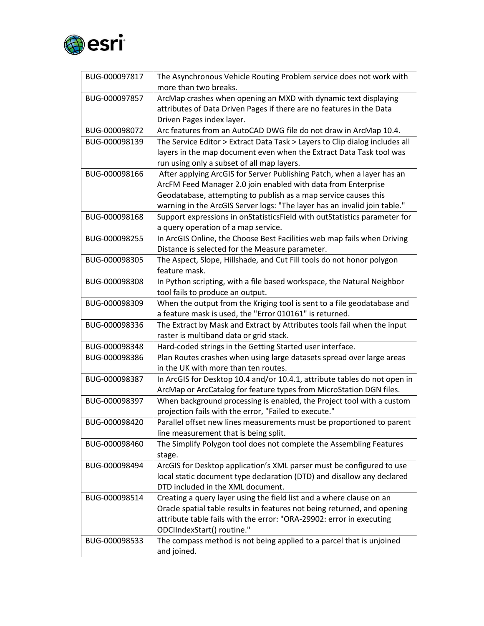

| BUG-000097817 | The Asynchronous Vehicle Routing Problem service does not work with<br>more than two breaks. |
|---------------|----------------------------------------------------------------------------------------------|
| BUG-000097857 | ArcMap crashes when opening an MXD with dynamic text displaying                              |
|               | attributes of Data Driven Pages if there are no features in the Data                         |
|               | Driven Pages index layer.                                                                    |
| BUG-000098072 | Arc features from an AutoCAD DWG file do not draw in ArcMap 10.4.                            |
| BUG-000098139 | The Service Editor > Extract Data Task > Layers to Clip dialog includes all                  |
|               | layers in the map document even when the Extract Data Task tool was                          |
|               | run using only a subset of all map layers.                                                   |
| BUG-000098166 | After applying ArcGIS for Server Publishing Patch, when a layer has an                       |
|               | ArcFM Feed Manager 2.0 join enabled with data from Enterprise                                |
|               | Geodatabase, attempting to publish as a map service causes this                              |
|               | warning in the ArcGIS Server logs: "The layer has an invalid join table."                    |
| BUG-000098168 | Support expressions in onStatisticsField with outStatistics parameter for                    |
|               | a query operation of a map service.                                                          |
| BUG-000098255 | In ArcGIS Online, the Choose Best Facilities web map fails when Driving                      |
|               | Distance is selected for the Measure parameter.                                              |
| BUG-000098305 | The Aspect, Slope, Hillshade, and Cut Fill tools do not honor polygon                        |
|               | feature mask.                                                                                |
| BUG-000098308 | In Python scripting, with a file based workspace, the Natural Neighbor                       |
|               | tool fails to produce an output.                                                             |
| BUG-000098309 | When the output from the Kriging tool is sent to a file geodatabase and                      |
|               | a feature mask is used, the "Error 010161" is returned.                                      |
| BUG-000098336 | The Extract by Mask and Extract by Attributes tools fail when the input                      |
|               | raster is multiband data or grid stack.                                                      |
| BUG-000098348 | Hard-coded strings in the Getting Started user interface.                                    |
| BUG-000098386 | Plan Routes crashes when using large datasets spread over large areas                        |
|               | in the UK with more than ten routes.                                                         |
| BUG-000098387 | In ArcGIS for Desktop 10.4 and/or 10.4.1, attribute tables do not open in                    |
|               | ArcMap or ArcCatalog for feature types from MicroStation DGN files.                          |
| BUG-000098397 | When background processing is enabled, the Project tool with a custom                        |
|               | projection fails with the error, "Failed to execute."                                        |
| BUG-000098420 | Parallel offset new lines measurements must be proportioned to parent                        |
|               | line measurement that is being split.                                                        |
| BUG-000098460 | The Simplify Polygon tool does not complete the Assembling Features                          |
|               | stage.                                                                                       |
| BUG-000098494 | ArcGIS for Desktop application's XML parser must be configured to use                        |
|               | local static document type declaration (DTD) and disallow any declared                       |
|               | DTD included in the XML document.                                                            |
| BUG-000098514 | Creating a query layer using the field list and a where clause on an                         |
|               | Oracle spatial table results in features not being returned, and opening                     |
|               | attribute table fails with the error: "ORA-29902: error in executing                         |
|               | ODCIIndexStart() routine."                                                                   |
| BUG-000098533 | The compass method is not being applied to a parcel that is unjoined                         |
|               | and joined.                                                                                  |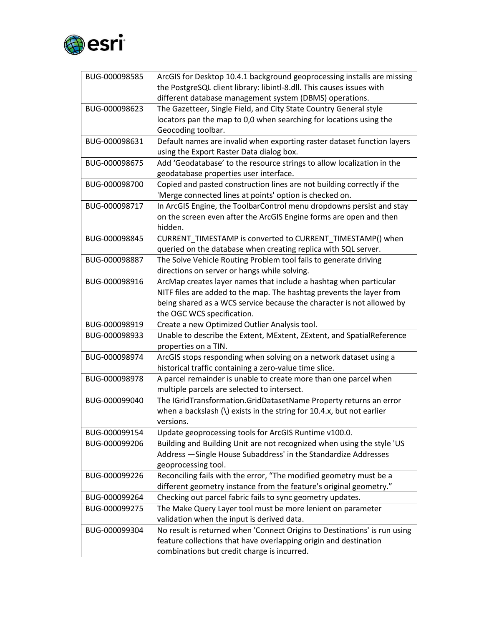

| BUG-000098585 | ArcGIS for Desktop 10.4.1 background geoprocessing installs are missing   |
|---------------|---------------------------------------------------------------------------|
|               | the PostgreSQL client library: libintl-8.dll. This causes issues with     |
|               | different database management system (DBMS) operations.                   |
| BUG-000098623 | The Gazetteer, Single Field, and City State Country General style         |
|               | locators pan the map to 0,0 when searching for locations using the        |
|               | Geocoding toolbar.                                                        |
| BUG-000098631 | Default names are invalid when exporting raster dataset function layers   |
|               | using the Export Raster Data dialog box.                                  |
| BUG-000098675 | Add 'Geodatabase' to the resource strings to allow localization in the    |
|               | geodatabase properties user interface.                                    |
| BUG-000098700 | Copied and pasted construction lines are not building correctly if the    |
|               | 'Merge connected lines at points' option is checked on.                   |
| BUG-000098717 | In ArcGIS Engine, the ToolbarControl menu dropdowns persist and stay      |
|               | on the screen even after the ArcGIS Engine forms are open and then        |
|               | hidden.                                                                   |
| BUG-000098845 | CURRENT TIMESTAMP is converted to CURRENT TIMESTAMP() when                |
|               | queried on the database when creating replica with SQL server.            |
| BUG-000098887 | The Solve Vehicle Routing Problem tool fails to generate driving          |
|               | directions on server or hangs while solving.                              |
| BUG-000098916 | ArcMap creates layer names that include a hashtag when particular         |
|               | NITF files are added to the map. The hashtag prevents the layer from      |
|               | being shared as a WCS service because the character is not allowed by     |
|               | the OGC WCS specification.                                                |
| BUG-000098919 | Create a new Optimized Outlier Analysis tool.                             |
| BUG-000098933 | Unable to describe the Extent, MExtent, ZExtent, and SpatialReference     |
|               | properties on a TIN.                                                      |
| BUG-000098974 | ArcGIS stops responding when solving on a network dataset using a         |
|               | historical traffic containing a zero-value time slice.                    |
| BUG-000098978 | A parcel remainder is unable to create more than one parcel when          |
|               | multiple parcels are selected to intersect.                               |
| BUG-000099040 | The IGridTransformation.GridDatasetName Property returns an error         |
|               | when a backslash (\) exists in the string for $10.4.x$ , but not earlier  |
|               | versions.                                                                 |
| BUG-000099154 | Update geoprocessing tools for ArcGIS Runtime v100.0.                     |
| BUG-000099206 | Building and Building Unit are not recognized when using the style 'US    |
|               | Address -Single House Subaddress' in the Standardize Addresses            |
|               | geoprocessing tool.                                                       |
| BUG-000099226 | Reconciling fails with the error, "The modified geometry must be a        |
|               | different geometry instance from the feature's original geometry."        |
| BUG-000099264 | Checking out parcel fabric fails to sync geometry updates.                |
| BUG-000099275 | The Make Query Layer tool must be more lenient on parameter               |
|               | validation when the input is derived data.                                |
| BUG-000099304 | No result is returned when 'Connect Origins to Destinations' is run using |
|               | feature collections that have overlapping origin and destination          |
|               | combinations but credit charge is incurred.                               |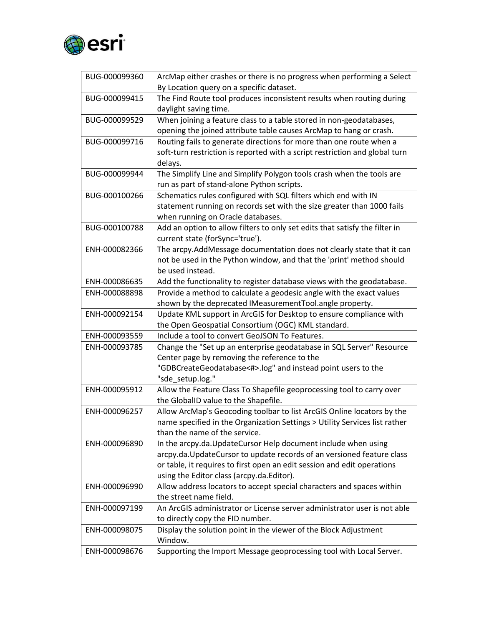

| BUG-000099360 | ArcMap either crashes or there is no progress when performing a Select<br>By Location query on a specific dataset. |
|---------------|--------------------------------------------------------------------------------------------------------------------|
| BUG-000099415 | The Find Route tool produces inconsistent results when routing during                                              |
|               | daylight saving time.                                                                                              |
| BUG-000099529 | When joining a feature class to a table stored in non-geodatabases,                                                |
|               | opening the joined attribute table causes ArcMap to hang or crash.                                                 |
| BUG-000099716 | Routing fails to generate directions for more than one route when a                                                |
|               | soft-turn restriction is reported with a script restriction and global turn                                        |
|               | delays.                                                                                                            |
| BUG-000099944 | The Simplify Line and Simplify Polygon tools crash when the tools are                                              |
|               | run as part of stand-alone Python scripts.                                                                         |
| BUG-000100266 | Schematics rules configured with SQL filters which end with IN                                                     |
|               | statement running on records set with the size greater than 1000 fails                                             |
|               | when running on Oracle databases.                                                                                  |
| BUG-000100788 | Add an option to allow filters to only set edits that satisfy the filter in                                        |
|               | current state (forSync='true').                                                                                    |
| ENH-000082366 | The arcpy.AddMessage documentation does not clearly state that it can                                              |
|               | not be used in the Python window, and that the 'print' method should                                               |
|               | be used instead.                                                                                                   |
| ENH-000086635 | Add the functionality to register database views with the geodatabase.                                             |
| ENH-000088898 | Provide a method to calculate a geodesic angle with the exact values                                               |
|               | shown by the deprecated IMeasurementTool.angle property.                                                           |
| ENH-000092154 | Update KML support in ArcGIS for Desktop to ensure compliance with                                                 |
|               | the Open Geospatial Consortium (OGC) KML standard.                                                                 |
| ENH-000093559 | Include a tool to convert GeoJSON To Features.                                                                     |
| ENH-000093785 | Change the "Set up an enterprise geodatabase in SQL Server" Resource                                               |
|               | Center page by removing the reference to the                                                                       |
|               | "GDBCreateGeodatabase<#>.log" and instead point users to the                                                       |
|               | "sde setup.log."                                                                                                   |
| ENH-000095912 | Allow the Feature Class To Shapefile geoprocessing tool to carry over                                              |
|               | the GlobalID value to the Shapefile.                                                                               |
| ENH-000096257 | Allow ArcMap's Geocoding toolbar to list ArcGIS Online locators by the                                             |
|               | name specified in the Organization Settings > Utility Services list rather                                         |
|               | than the name of the service.                                                                                      |
| ENH-000096890 | In the arcpy.da.UpdateCursor Help document include when using                                                      |
|               | arcpy.da. Update Cursor to update records of an versioned feature class                                            |
|               | or table, it requires to first open an edit session and edit operations                                            |
|               | using the Editor class (arcpy.da.Editor).                                                                          |
| ENH-000096990 | Allow address locators to accept special characters and spaces within                                              |
|               | the street name field.                                                                                             |
| ENH-000097199 | An ArcGIS administrator or License server administrator user is not able                                           |
| ENH-000098075 | to directly copy the FID number.                                                                                   |
|               | Display the solution point in the viewer of the Block Adjustment<br>Window.                                        |
| ENH-000098676 | Supporting the Import Message geoprocessing tool with Local Server.                                                |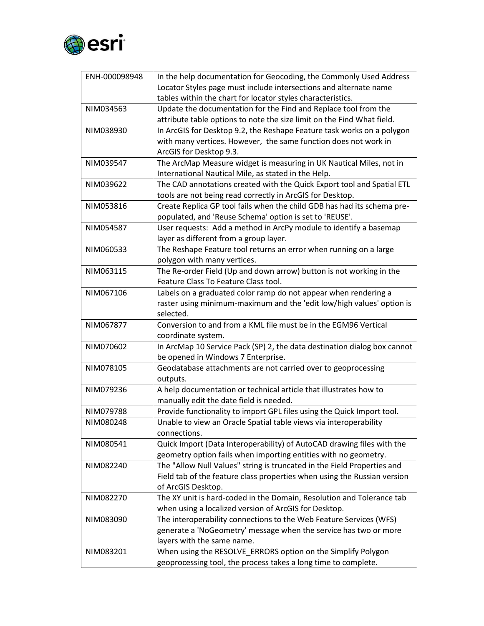

| ENH-000098948 | In the help documentation for Geocoding, the Commonly Used Address       |
|---------------|--------------------------------------------------------------------------|
|               | Locator Styles page must include intersections and alternate name        |
|               | tables within the chart for locator styles characteristics.              |
| NIM034563     | Update the documentation for the Find and Replace tool from the          |
|               | attribute table options to note the size limit on the Find What field.   |
| NIM038930     | In ArcGIS for Desktop 9.2, the Reshape Feature task works on a polygon   |
|               | with many vertices. However, the same function does not work in          |
|               | ArcGIS for Desktop 9.3.                                                  |
| NIM039547     | The ArcMap Measure widget is measuring in UK Nautical Miles, not in      |
|               | International Nautical Mile, as stated in the Help.                      |
| NIM039622     | The CAD annotations created with the Quick Export tool and Spatial ETL   |
|               | tools are not being read correctly in ArcGIS for Desktop.                |
| NIM053816     | Create Replica GP tool fails when the child GDB has had its schema pre-  |
|               | populated, and 'Reuse Schema' option is set to 'REUSE'.                  |
| NIM054587     | User requests: Add a method in ArcPy module to identify a basemap        |
|               | layer as different from a group layer.                                   |
| NIM060533     | The Reshape Feature tool returns an error when running on a large        |
|               | polygon with many vertices.                                              |
| NIM063115     | The Re-order Field (Up and down arrow) button is not working in the      |
|               | Feature Class To Feature Class tool.                                     |
| NIM067106     | Labels on a graduated color ramp do not appear when rendering a          |
|               | raster using minimum-maximum and the 'edit low/high values' option is    |
|               | selected.                                                                |
| NIM067877     | Conversion to and from a KML file must be in the EGM96 Vertical          |
|               | coordinate system.                                                       |
| NIM070602     | In ArcMap 10 Service Pack (SP) 2, the data destination dialog box cannot |
|               | be opened in Windows 7 Enterprise.                                       |
| NIM078105     | Geodatabase attachments are not carried over to geoprocessing            |
|               | outputs.                                                                 |
| NIM079236     | A help documentation or technical article that illustrates how to        |
|               | manually edit the date field is needed.                                  |
| NIM079788     | Provide functionality to import GPL files using the Quick Import tool.   |
| NIM080248     | Unable to view an Oracle Spatial table views via interoperability        |
|               | connections.                                                             |
| NIM080541     | Quick Import (Data Interoperability) of AutoCAD drawing files with the   |
|               | geometry option fails when importing entities with no geometry.          |
| NIM082240     | The "Allow Null Values" string is truncated in the Field Properties and  |
|               | Field tab of the feature class properties when using the Russian version |
|               | of ArcGIS Desktop.                                                       |
| NIM082270     | The XY unit is hard-coded in the Domain, Resolution and Tolerance tab    |
|               | when using a localized version of ArcGIS for Desktop.                    |
| NIM083090     | The interoperability connections to the Web Feature Services (WFS)       |
|               | generate a 'NoGeometry' message when the service has two or more         |
|               | layers with the same name.                                               |
| NIM083201     | When using the RESOLVE_ERRORS option on the Simplify Polygon             |
|               | geoprocessing tool, the process takes a long time to complete.           |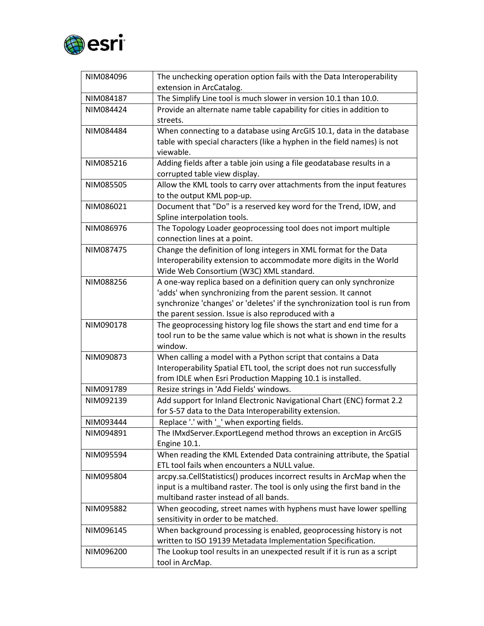

| NIM084096 | The unchecking operation option fails with the Data Interoperability<br>extension in ArcCatalog.                                                     |
|-----------|------------------------------------------------------------------------------------------------------------------------------------------------------|
| NIM084187 | The Simplify Line tool is much slower in version 10.1 than 10.0.                                                                                     |
| NIM084424 | Provide an alternate name table capability for cities in addition to                                                                                 |
|           | streets.                                                                                                                                             |
| NIM084484 | When connecting to a database using ArcGIS 10.1, data in the database                                                                                |
|           | table with special characters (like a hyphen in the field names) is not                                                                              |
|           | viewable.                                                                                                                                            |
| NIM085216 | Adding fields after a table join using a file geodatabase results in a                                                                               |
|           | corrupted table view display.                                                                                                                        |
| NIM085505 | Allow the KML tools to carry over attachments from the input features                                                                                |
|           | to the output KML pop-up.                                                                                                                            |
| NIM086021 | Document that "Do" is a reserved key word for the Trend, IDW, and                                                                                    |
|           | Spline interpolation tools.                                                                                                                          |
| NIM086976 | The Topology Loader geoprocessing tool does not import multiple                                                                                      |
|           | connection lines at a point.                                                                                                                         |
| NIM087475 | Change the definition of long integers in XML format for the Data                                                                                    |
|           | Interoperability extension to accommodate more digits in the World                                                                                   |
|           | Wide Web Consortium (W3C) XML standard.                                                                                                              |
| NIM088256 | A one-way replica based on a definition query can only synchronize                                                                                   |
|           | 'adds' when synchronizing from the parent session. It cannot                                                                                         |
|           | synchronize 'changes' or 'deletes' if the synchronization tool is run from                                                                           |
|           | the parent session. Issue is also reproduced with a                                                                                                  |
| NIM090178 | The geoprocessing history log file shows the start and end time for a                                                                                |
|           | tool run to be the same value which is not what is shown in the results                                                                              |
|           | window.                                                                                                                                              |
| NIM090873 | When calling a model with a Python script that contains a Data                                                                                       |
|           | Interoperability Spatial ETL tool, the script does not run successfully                                                                              |
|           | from IDLE when Esri Production Mapping 10.1 is installed.                                                                                            |
| NIM091789 | Resize strings in 'Add Fields' windows.                                                                                                              |
| NIM092139 | Add support for Inland Electronic Navigational Chart (ENC) format 2.2                                                                                |
|           | for S-57 data to the Data Interoperability extension.                                                                                                |
| NIM093444 | Replace '.' with '_' when exporting fields.                                                                                                          |
| NIM094891 | The IMxdServer. ExportLegend method throws an exception in ArcGIS                                                                                    |
|           | <b>Engine 10.1.</b>                                                                                                                                  |
| NIM095594 | When reading the KML Extended Data contraining attribute, the Spatial                                                                                |
|           | ETL tool fails when encounters a NULL value.                                                                                                         |
| NIM095804 | arcpy.sa.CellStatistics() produces incorrect results in ArcMap when the<br>input is a multiband raster. The tool is only using the first band in the |
|           | multiband raster instead of all bands.                                                                                                               |
| NIM095882 | When geocoding, street names with hyphens must have lower spelling                                                                                   |
|           | sensitivity in order to be matched.                                                                                                                  |
| NIM096145 | When background processing is enabled, geoprocessing history is not                                                                                  |
|           | written to ISO 19139 Metadata Implementation Specification.                                                                                          |
| NIM096200 | The Lookup tool results in an unexpected result if it is run as a script                                                                             |
|           |                                                                                                                                                      |
|           | tool in ArcMap.                                                                                                                                      |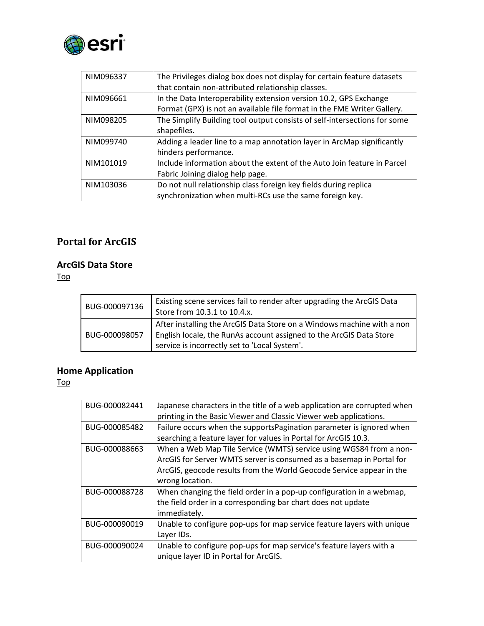

| NIM096337 | The Privileges dialog box does not display for certain feature datasets<br>that contain non-attributed relationship classes.                 |
|-----------|----------------------------------------------------------------------------------------------------------------------------------------------|
| NIM096661 | In the Data Interoperability extension version 10.2, GPS Exchange<br>Format (GPX) is not an available file format in the FME Writer Gallery. |
| NIM098205 | The Simplify Building tool output consists of self-intersections for some<br>shapefiles.                                                     |
| NIM099740 | Adding a leader line to a map annotation layer in ArcMap significantly<br>hinders performance.                                               |
| NIM101019 | Include information about the extent of the Auto Join feature in Parcel<br>Fabric Joining dialog help page.                                  |
| NIM103036 | Do not null relationship class foreign key fields during replica<br>synchronization when multi-RCs use the same foreign key.                 |

## **Portal for ArcGIS**

#### <span id="page-16-0"></span>**ArcGIS Data Store**

[Top](#page-0-0)

| BUG-000097136 | Existing scene services fail to render after upgrading the ArcGIS Data<br>Store from 10.3.1 to 10.4.x.                                                                                         |
|---------------|------------------------------------------------------------------------------------------------------------------------------------------------------------------------------------------------|
| BUG-000098057 | After installing the ArcGIS Data Store on a Windows machine with a non<br>English locale, the RunAs account assigned to the ArcGIS Data Store<br>service is incorrectly set to 'Local System'. |

#### <span id="page-16-1"></span>**Home Application**

| BUG-000082441 | Japanese characters in the title of a web application are corrupted when<br>printing in the Basic Viewer and Classic Viewer web applications. |
|---------------|-----------------------------------------------------------------------------------------------------------------------------------------------|
| BUG-000085482 | Failure occurs when the supports Pagination parameter is ignored when                                                                         |
|               | searching a feature layer for values in Portal for ArcGIS 10.3.                                                                               |
| BUG-000088663 | When a Web Map Tile Service (WMTS) service using WGS84 from a non-                                                                            |
|               | ArcGIS for Server WMTS server is consumed as a basemap in Portal for                                                                          |
|               | ArcGIS, geocode results from the World Geocode Service appear in the                                                                          |
|               | wrong location.                                                                                                                               |
| BUG-000088728 | When changing the field order in a pop-up configuration in a webmap,                                                                          |
|               | the field order in a corresponding bar chart does not update                                                                                  |
|               | immediately.                                                                                                                                  |
| BUG-000090019 | Unable to configure pop-ups for map service feature layers with unique                                                                        |
|               | Layer IDs.                                                                                                                                    |
| BUG-000090024 | Unable to configure pop-ups for map service's feature layers with a                                                                           |
|               | unique layer ID in Portal for ArcGIS.                                                                                                         |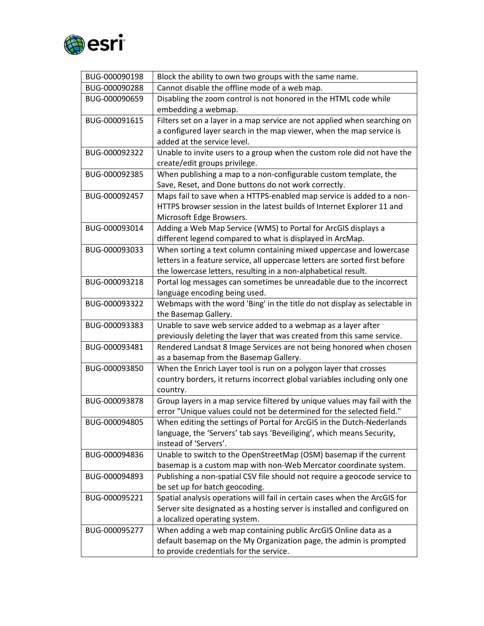

| BUG-000090198 | Block the ability to own two groups with the same name.                     |
|---------------|-----------------------------------------------------------------------------|
| BUG-000090288 | Cannot disable the offline mode of a web map.                               |
| BUG-000090659 | Disabling the zoom control is not honored in the HTML code while            |
|               | embedding a webmap.                                                         |
| BUG-000091615 | Filters set on a layer in a map service are not applied when searching on   |
|               | a configured layer search in the map viewer, when the map service is        |
|               | added at the service level.                                                 |
| BUG-000092322 | Unable to invite users to a group when the custom role did not have the     |
|               | create/edit groups privilege.                                               |
| BUG-000092385 | When publishing a map to a non-configurable custom template, the            |
|               | Save, Reset, and Done buttons do not work correctly.                        |
| BUG-000092457 | Maps fail to save when a HTTPS-enabled map service is added to a non-       |
|               | HTTPS browser session in the latest builds of Internet Explorer 11 and      |
|               | Microsoft Edge Browsers.                                                    |
| BUG-000093014 | Adding a Web Map Service (WMS) to Portal for ArcGIS displays a              |
|               | different legend compared to what is displayed in ArcMap.                   |
| BUG-000093033 | When sorting a text column containing mixed uppercase and lowercase         |
|               | letters in a feature service, all uppercase letters are sorted first before |
|               | the lowercase letters, resulting in a non-alphabetical result.              |
| BUG-000093218 | Portal log messages can sometimes be unreadable due to the incorrect        |
|               | language encoding being used.                                               |
| BUG-000093322 | Webmaps with the word 'Bing' in the title do not display as selectable in   |
|               | the Basemap Gallery.                                                        |
| BUG-000093383 | Unable to save web service added to a webmap as a layer after               |
|               | previously deleting the layer that was created from this same service.      |
| BUG-000093481 | Rendered Landsat 8 Image Services are not being honored when chosen         |
|               | as a basemap from the Basemap Gallery.                                      |
| BUG-000093850 | When the Enrich Layer tool is run on a polygon layer that crosses           |
|               | country borders, it returns incorrect global variables including only one   |
|               | country.                                                                    |
| BUG-000093878 | Group layers in a map service filtered by unique values may fail with the   |
|               | error "Unique values could not be determined for the selected field."       |
| BUG-000094805 | When editing the settings of Portal for ArcGIS in the Dutch-Nederlands      |
|               | language, the 'Servers' tab says 'Beveiliging', which means Security,       |
|               | instead of 'Servers'.                                                       |
| BUG-000094836 | Unable to switch to the OpenStreetMap (OSM) basemap if the current          |
|               | basemap is a custom map with non-Web Mercator coordinate system.            |
| BUG-000094893 | Publishing a non-spatial CSV file should not require a geocode service to   |
|               | be set up for batch geocoding.                                              |
| BUG-000095221 | Spatial analysis operations will fail in certain cases when the ArcGIS for  |
|               | Server site designated as a hosting server is installed and configured on   |
|               | a localized operating system.                                               |
| BUG-000095277 | When adding a web map containing public ArcGIS Online data as a             |
|               | default basemap on the My Organization page, the admin is prompted          |
|               | to provide credentials for the service.                                     |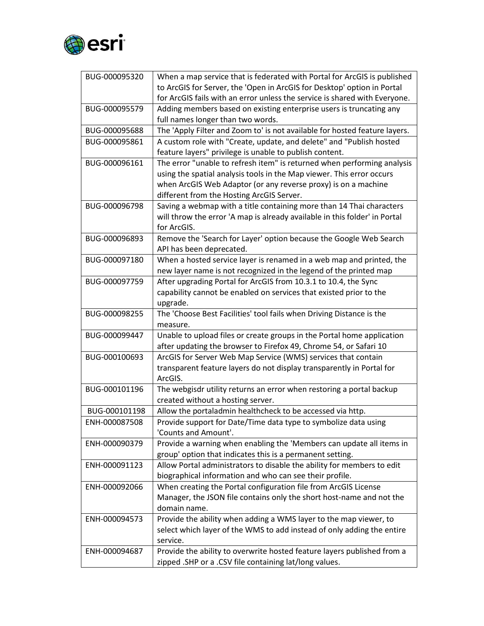

| BUG-000095320 | When a map service that is federated with Portal for ArcGIS is published   |
|---------------|----------------------------------------------------------------------------|
|               | to ArcGIS for Server, the 'Open in ArcGIS for Desktop' option in Portal    |
|               | for ArcGIS fails with an error unless the service is shared with Everyone. |
| BUG-000095579 | Adding members based on existing enterprise users is truncating any        |
|               | full names longer than two words.                                          |
| BUG-000095688 | The 'Apply Filter and Zoom to' is not available for hosted feature layers. |
| BUG-000095861 | A custom role with "Create, update, and delete" and "Publish hosted        |
|               | feature layers" privilege is unable to publish content.                    |
| BUG-000096161 | The error "unable to refresh item" is returned when performing analysis    |
|               | using the spatial analysis tools in the Map viewer. This error occurs      |
|               | when ArcGIS Web Adaptor (or any reverse proxy) is on a machine             |
|               | different from the Hosting ArcGIS Server.                                  |
| BUG-000096798 | Saving a webmap with a title containing more than 14 Thai characters       |
|               | will throw the error 'A map is already available in this folder' in Portal |
|               | for ArcGIS.                                                                |
| BUG-000096893 | Remove the 'Search for Layer' option because the Google Web Search         |
|               | API has been deprecated.                                                   |
| BUG-000097180 | When a hosted service layer is renamed in a web map and printed, the       |
|               | new layer name is not recognized in the legend of the printed map          |
| BUG-000097759 | After upgrading Portal for ArcGIS from 10.3.1 to 10.4, the Sync            |
|               | capability cannot be enabled on services that existed prior to the         |
|               | upgrade.                                                                   |
| BUG-000098255 | The 'Choose Best Facilities' tool fails when Driving Distance is the       |
|               | measure.                                                                   |
| BUG-000099447 | Unable to upload files or create groups in the Portal home application     |
|               | after updating the browser to Firefox 49, Chrome 54, or Safari 10          |
| BUG-000100693 | ArcGIS for Server Web Map Service (WMS) services that contain              |
|               | transparent feature layers do not display transparently in Portal for      |
|               | ArcGIS.                                                                    |
| BUG-000101196 | The webgisdr utility returns an error when restoring a portal backup       |
|               | created without a hosting server.                                          |
| BUG-000101198 | Allow the portaladmin healthcheck to be accessed via http.                 |
| ENH-000087508 | Provide support for Date/Time data type to symbolize data using            |
|               | 'Counts and Amount'.                                                       |
| ENH-000090379 | Provide a warning when enabling the 'Members can update all items in       |
|               | group' option that indicates this is a permanent setting.                  |
| ENH-000091123 | Allow Portal administrators to disable the ability for members to edit     |
|               | biographical information and who can see their profile.                    |
| ENH-000092066 | When creating the Portal configuration file from ArcGIS License            |
|               | Manager, the JSON file contains only the short host-name and not the       |
|               | domain name.                                                               |
| ENH-000094573 | Provide the ability when adding a WMS layer to the map viewer, to          |
|               | select which layer of the WMS to add instead of only adding the entire     |
|               | service.                                                                   |
| ENH-000094687 | Provide the ability to overwrite hosted feature layers published from a    |
|               | zipped .SHP or a .CSV file containing lat/long values.                     |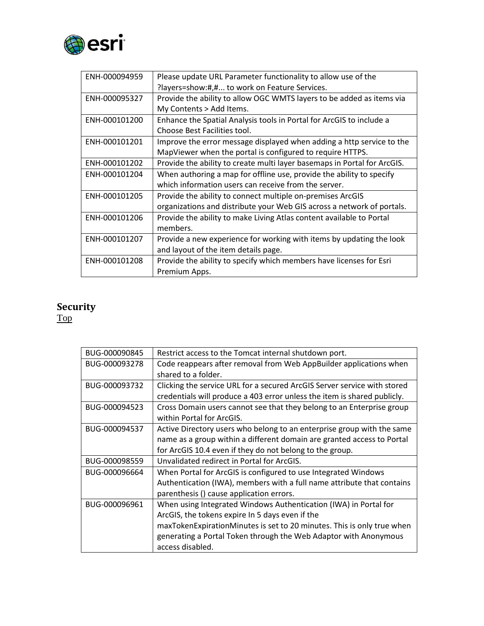

| ENH-000094959 | Please update URL Parameter functionality to allow use of the            |
|---------------|--------------------------------------------------------------------------|
|               | ?layers=show:#,# to work on Feature Services.                            |
| ENH-000095327 | Provide the ability to allow OGC WMTS layers to be added as items via    |
|               | My Contents > Add Items.                                                 |
| ENH-000101200 | Enhance the Spatial Analysis tools in Portal for ArcGIS to include a     |
|               | Choose Best Facilities tool.                                             |
| ENH-000101201 | Improve the error message displayed when adding a http service to the    |
|               | MapViewer when the portal is configured to require HTTPS.                |
| ENH-000101202 | Provide the ability to create multi layer basemaps in Portal for ArcGIS. |
| ENH-000101204 | When authoring a map for offline use, provide the ability to specify     |
|               | which information users can receive from the server.                     |
| ENH-000101205 | Provide the ability to connect multiple on-premises ArcGIS               |
|               | organizations and distribute your Web GIS across a network of portals.   |
| ENH-000101206 | Provide the ability to make Living Atlas content available to Portal     |
|               | members.                                                                 |
| ENH-000101207 | Provide a new experience for working with items by updating the look     |
|               | and layout of the item details page.                                     |
| ENH-000101208 | Provide the ability to specify which members have licenses for Esri      |
|               | Premium Apps.                                                            |

#### <span id="page-19-0"></span>**Security**

| BUG-000090845 | Restrict access to the Tomcat internal shutdown port.                    |
|---------------|--------------------------------------------------------------------------|
| BUG-000093278 | Code reappears after removal from Web AppBuilder applications when       |
|               | shared to a folder.                                                      |
| BUG-000093732 | Clicking the service URL for a secured ArcGIS Server service with stored |
|               | credentials will produce a 403 error unless the item is shared publicly. |
| BUG-000094523 | Cross Domain users cannot see that they belong to an Enterprise group    |
|               | within Portal for ArcGIS.                                                |
| BUG-000094537 | Active Directory users who belong to an enterprise group with the same   |
|               | name as a group within a different domain are granted access to Portal   |
|               | for ArcGIS 10.4 even if they do not belong to the group.                 |
| BUG-000098559 | Unvalidated redirect in Portal for ArcGIS.                               |
| BUG-000096664 | When Portal for ArcGIS is configured to use Integrated Windows           |
|               | Authentication (IWA), members with a full name attribute that contains   |
|               | parenthesis () cause application errors.                                 |
| BUG-000096961 | When using Integrated Windows Authentication (IWA) in Portal for         |
|               | ArcGIS, the tokens expire In 5 days even if the                          |
|               | maxTokenExpirationMinutes is set to 20 minutes. This is only true when   |
|               | generating a Portal Token through the Web Adaptor with Anonymous         |
|               | access disabled.                                                         |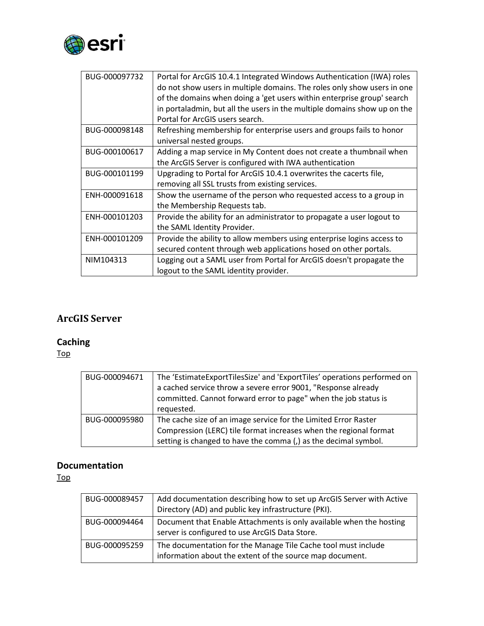

| BUG-000097732 | Portal for ArcGIS 10.4.1 Integrated Windows Authentication (IWA) roles   |
|---------------|--------------------------------------------------------------------------|
|               | do not show users in multiple domains. The roles only show users in one  |
|               | of the domains when doing a 'get users within enterprise group' search   |
|               | in portaladmin, but all the users in the multiple domains show up on the |
|               | Portal for ArcGIS users search.                                          |
| BUG-000098148 | Refreshing membership for enterprise users and groups fails to honor     |
|               | universal nested groups.                                                 |
| BUG-000100617 | Adding a map service in My Content does not create a thumbnail when      |
|               | the ArcGIS Server is configured with IWA authentication                  |
| BUG-000101199 | Upgrading to Portal for ArcGIS 10.4.1 overwrites the cacerts file,       |
|               | removing all SSL trusts from existing services.                          |
| ENH-000091618 | Show the username of the person who requested access to a group in       |
|               | the Membership Requests tab.                                             |
| ENH-000101203 | Provide the ability for an administrator to propagate a user logout to   |
|               | the SAML Identity Provider.                                              |
| ENH-000101209 | Provide the ability to allow members using enterprise logins access to   |
|               | secured content through web applications hosed on other portals.         |
| NIM104313     | Logging out a SAML user from Portal for ArcGIS doesn't propagate the     |
|               | logout to the SAML identity provider.                                    |

## **ArcGIS Server**

## <span id="page-20-0"></span>**Caching**

[Top](#page-0-0)

| BUG-000094671 | The 'EstimateExportTilesSize' and 'ExportTiles' operations performed on<br>a cached service throw a severe error 9001, "Response already<br>committed. Cannot forward error to page" when the job status is<br>requested. |
|---------------|---------------------------------------------------------------------------------------------------------------------------------------------------------------------------------------------------------------------------|
| BUG-000095980 | The cache size of an image service for the Limited Error Raster<br>Compression (LERC) tile format increases when the regional format<br>setting is changed to have the comma (,) as the decimal symbol.                   |

#### <span id="page-20-1"></span>**Documentation**

| BUG-000089457 | Add documentation describing how to set up ArcGIS Server with Active<br>Directory (AD) and public key infrastructure (PKI). |
|---------------|-----------------------------------------------------------------------------------------------------------------------------|
| BUG-000094464 | Document that Enable Attachments is only available when the hosting<br>server is configured to use ArcGIS Data Store.       |
| BUG-000095259 | The documentation for the Manage Tile Cache tool must include<br>information about the extent of the source map document.   |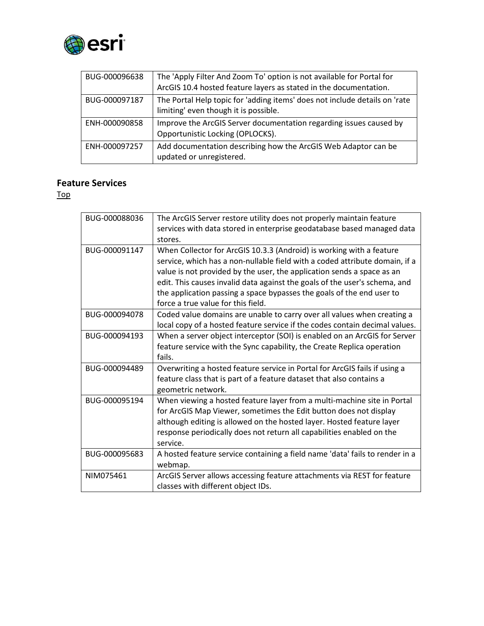

| BUG-000096638 | The 'Apply Filter And Zoom To' option is not available for Portal for<br>ArcGIS 10.4 hosted feature layers as stated in the documentation. |
|---------------|--------------------------------------------------------------------------------------------------------------------------------------------|
| BUG-000097187 | The Portal Help topic for 'adding items' does not include details on 'rate<br>limiting' even though it is possible.                        |
| ENH-000090858 | Improve the ArcGIS Server documentation regarding issues caused by<br>Opportunistic Locking (OPLOCKS).                                     |
| ENH-000097257 | Add documentation describing how the ArcGIS Web Adaptor can be<br>updated or unregistered.                                                 |

#### <span id="page-21-0"></span>**Feature Services**

| BUG-000088036 | The ArcGIS Server restore utility does not properly maintain feature<br>services with data stored in enterprise geodatabase based managed data<br>stores.                                                                                                                                                                                                                                                                  |
|---------------|----------------------------------------------------------------------------------------------------------------------------------------------------------------------------------------------------------------------------------------------------------------------------------------------------------------------------------------------------------------------------------------------------------------------------|
| BUG-000091147 | When Collector for ArcGIS 10.3.3 (Android) is working with a feature<br>service, which has a non-nullable field with a coded attribute domain, if a<br>value is not provided by the user, the application sends a space as an<br>edit. This causes invalid data against the goals of the user's schema, and<br>the application passing a space bypasses the goals of the end user to<br>force a true value for this field. |
| BUG-000094078 | Coded value domains are unable to carry over all values when creating a<br>local copy of a hosted feature service if the codes contain decimal values.                                                                                                                                                                                                                                                                     |
| BUG-000094193 | When a server object interceptor (SOI) is enabled on an ArcGIS for Server<br>feature service with the Sync capability, the Create Replica operation<br>fails.                                                                                                                                                                                                                                                              |
| BUG-000094489 | Overwriting a hosted feature service in Portal for ArcGIS fails if using a<br>feature class that is part of a feature dataset that also contains a<br>geometric network.                                                                                                                                                                                                                                                   |
| BUG-000095194 | When viewing a hosted feature layer from a multi-machine site in Portal<br>for ArcGIS Map Viewer, sometimes the Edit button does not display<br>although editing is allowed on the hosted layer. Hosted feature layer<br>response periodically does not return all capabilities enabled on the<br>service.                                                                                                                 |
| BUG-000095683 | A hosted feature service containing a field name 'data' fails to render in a<br>webmap.                                                                                                                                                                                                                                                                                                                                    |
| NIM075461     | ArcGIS Server allows accessing feature attachments via REST for feature<br>classes with different object IDs.                                                                                                                                                                                                                                                                                                              |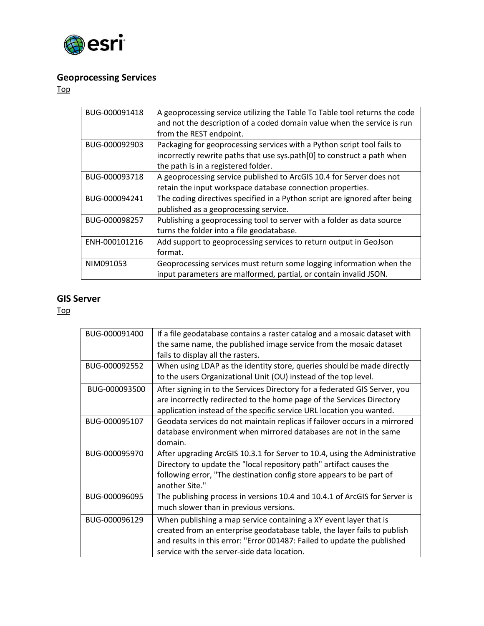

## <span id="page-22-0"></span>**Geoprocessing Services**

[Top](#page-0-0)

| BUG-000091418 | A geoprocessing service utilizing the Table To Table tool returns the code |
|---------------|----------------------------------------------------------------------------|
|               | and not the description of a coded domain value when the service is run    |
|               | from the REST endpoint.                                                    |
| BUG-000092903 | Packaging for geoprocessing services with a Python script tool fails to    |
|               | incorrectly rewrite paths that use sys.path[0] to construct a path when    |
|               | the path is in a registered folder.                                        |
| BUG-000093718 | A geoprocessing service published to ArcGIS 10.4 for Server does not       |
|               | retain the input workspace database connection properties.                 |
| BUG-000094241 | The coding directives specified in a Python script are ignored after being |
|               | published as a geoprocessing service.                                      |
| BUG-000098257 | Publishing a geoprocessing tool to server with a folder as data source     |
|               | turns the folder into a file geodatabase.                                  |
| ENH-000101216 | Add support to geoprocessing services to return output in GeoJson          |
|               | format.                                                                    |
| NIM091053     | Geoprocessing services must return some logging information when the       |
|               | input parameters are malformed, partial, or contain invalid JSON.          |

#### <span id="page-22-1"></span>**GIS Server**

| BUG-000091400 | If a file geodatabase contains a raster catalog and a mosaic dataset with<br>the same name, the published image service from the mosaic dataset<br>fails to display all the rasters.                                                                                     |
|---------------|--------------------------------------------------------------------------------------------------------------------------------------------------------------------------------------------------------------------------------------------------------------------------|
| BUG-000092552 | When using LDAP as the identity store, queries should be made directly<br>to the users Organizational Unit (OU) instead of the top level.                                                                                                                                |
| BUG-000093500 | After signing in to the Services Directory for a federated GIS Server, you<br>are incorrectly redirected to the home page of the Services Directory<br>application instead of the specific service URL location you wanted.                                              |
| BUG-000095107 | Geodata services do not maintain replicas if failover occurs in a mirrored<br>database environment when mirrored databases are not in the same<br>domain.                                                                                                                |
| BUG-000095970 | After upgrading ArcGIS 10.3.1 for Server to 10.4, using the Administrative<br>Directory to update the "local repository path" artifact causes the<br>following error, "The destination config store appears to be part of<br>another Site."                              |
| BUG-000096095 | The publishing process in versions 10.4 and 10.4.1 of ArcGIS for Server is<br>much slower than in previous versions.                                                                                                                                                     |
| BUG-000096129 | When publishing a map service containing a XY event layer that is<br>created from an enterprise geodatabase table, the layer fails to publish<br>and results in this error: "Error 001487: Failed to update the published<br>service with the server-side data location. |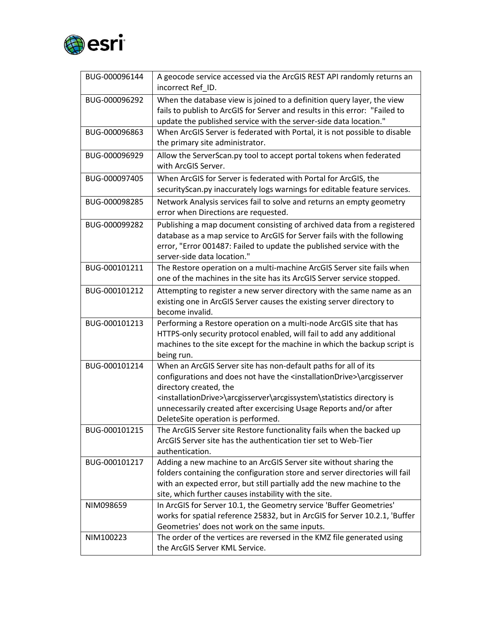

| BUG-000096144 | A geocode service accessed via the ArcGIS REST API randomly returns an<br>incorrect Ref ID.                                                                                                                                                                |
|---------------|------------------------------------------------------------------------------------------------------------------------------------------------------------------------------------------------------------------------------------------------------------|
| BUG-000096292 | When the database view is joined to a definition query layer, the view                                                                                                                                                                                     |
|               | fails to publish to ArcGIS for Server and results in this error: "Failed to                                                                                                                                                                                |
|               | update the published service with the server-side data location."                                                                                                                                                                                          |
| BUG-000096863 | When ArcGIS Server is federated with Portal, it is not possible to disable<br>the primary site administrator.                                                                                                                                              |
| BUG-000096929 | Allow the ServerScan.py tool to accept portal tokens when federated<br>with ArcGIS Server.                                                                                                                                                                 |
| BUG-000097405 | When ArcGIS for Server is federated with Portal for ArcGIS, the                                                                                                                                                                                            |
|               | securityScan.py inaccurately logs warnings for editable feature services.                                                                                                                                                                                  |
| BUG-000098285 | Network Analysis services fail to solve and returns an empty geometry<br>error when Directions are requested.                                                                                                                                              |
| BUG-000099282 | Publishing a map document consisting of archived data from a registered<br>database as a map service to ArcGIS for Server fails with the following<br>error, "Error 001487: Failed to update the published service with the<br>server-side data location." |
| BUG-000101211 | The Restore operation on a multi-machine ArcGIS Server site fails when                                                                                                                                                                                     |
|               | one of the machines in the site has its ArcGIS Server service stopped.                                                                                                                                                                                     |
| BUG-000101212 | Attempting to register a new server directory with the same name as an                                                                                                                                                                                     |
|               | existing one in ArcGIS Server causes the existing server directory to<br>become invalid.                                                                                                                                                                   |
| BUG-000101213 | Performing a Restore operation on a multi-node ArcGIS site that has                                                                                                                                                                                        |
|               | HTTPS-only security protocol enabled, will fail to add any additional                                                                                                                                                                                      |
|               | machines to the site except for the machine in which the backup script is<br>being run.                                                                                                                                                                    |
| BUG-000101214 | When an ArcGIS Server site has non-default paths for all of its                                                                                                                                                                                            |
|               | configurations and does not have the <installationdrive>\arcgisserver<br/>directory created, the</installationdrive>                                                                                                                                       |
|               | <installationdrive>\arcgisserver\arcgissystem\statistics directory is</installationdrive>                                                                                                                                                                  |
|               | unnecessarily created after excercising Usage Reports and/or after                                                                                                                                                                                         |
|               | DeleteSite operation is performed.                                                                                                                                                                                                                         |
| BUG-000101215 | The ArcGIS Server site Restore functionality fails when the backed up                                                                                                                                                                                      |
|               | ArcGIS Server site has the authentication tier set to Web-Tier                                                                                                                                                                                             |
|               | authentication.                                                                                                                                                                                                                                            |
| BUG-000101217 | Adding a new machine to an ArcGIS Server site without sharing the                                                                                                                                                                                          |
|               | folders containing the configuration store and server directories will fail                                                                                                                                                                                |
|               | with an expected error, but still partially add the new machine to the                                                                                                                                                                                     |
|               | site, which further causes instability with the site.                                                                                                                                                                                                      |
| NIM098659     | In ArcGIS for Server 10.1, the Geometry service 'Buffer Geometries'                                                                                                                                                                                        |
|               | works for spatial reference 25832, but in ArcGIS for Server 10.2.1, 'Buffer                                                                                                                                                                                |
|               | Geometries' does not work on the same inputs.                                                                                                                                                                                                              |
| NIM100223     | The order of the vertices are reversed in the KMZ file generated using                                                                                                                                                                                     |
|               | the ArcGIS Server KML Service.                                                                                                                                                                                                                             |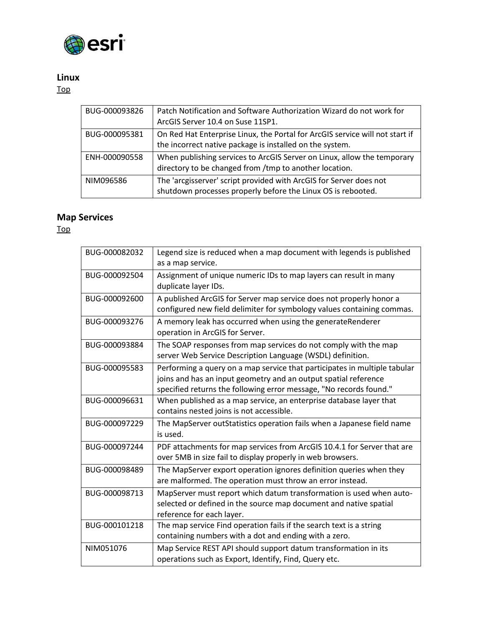

#### <span id="page-24-0"></span>**Linux**

[Top](#page-0-0)

| BUG-000093826 | Patch Notification and Software Authorization Wizard do not work for<br>ArcGIS Server 10.4 on Suse 11SP1.                                |
|---------------|------------------------------------------------------------------------------------------------------------------------------------------|
| BUG-000095381 | On Red Hat Enterprise Linux, the Portal for ArcGIS service will not start if<br>the incorrect native package is installed on the system. |
| ENH-000090558 | When publishing services to ArcGIS Server on Linux, allow the temporary<br>directory to be changed from /tmp to another location.        |
| NIM096586     | The 'arcgisserver' script provided with ArcGIS for Server does not<br>shutdown processes properly before the Linux OS is rebooted.       |

#### <span id="page-24-1"></span>**Map Services**

| BUG-000082032 | Legend size is reduced when a map document with legends is published<br>as a map service.                                                                                                                          |
|---------------|--------------------------------------------------------------------------------------------------------------------------------------------------------------------------------------------------------------------|
| BUG-000092504 | Assignment of unique numeric IDs to map layers can result in many<br>duplicate layer IDs.                                                                                                                          |
| BUG-000092600 | A published ArcGIS for Server map service does not properly honor a<br>configured new field delimiter for symbology values containing commas.                                                                      |
| BUG-000093276 | A memory leak has occurred when using the generateRenderer<br>operation in ArcGIS for Server.                                                                                                                      |
| BUG-000093884 | The SOAP responses from map services do not comply with the map<br>server Web Service Description Language (WSDL) definition.                                                                                      |
| BUG-000095583 | Performing a query on a map service that participates in multiple tabular<br>joins and has an input geometry and an output spatial reference<br>specified returns the following error message, "No records found." |
| BUG-000096631 | When published as a map service, an enterprise database layer that<br>contains nested joins is not accessible.                                                                                                     |
| BUG-000097229 | The MapServer outStatistics operation fails when a Japanese field name<br>is used.                                                                                                                                 |
| BUG-000097244 | PDF attachments for map services from ArcGIS 10.4.1 for Server that are<br>over 5MB in size fail to display properly in web browsers.                                                                              |
| BUG-000098489 | The MapServer export operation ignores definition queries when they<br>are malformed. The operation must throw an error instead.                                                                                   |
| BUG-000098713 | MapServer must report which datum transformation is used when auto-<br>selected or defined in the source map document and native spatial<br>reference for each layer.                                              |
| BUG-000101218 | The map service Find operation fails if the search text is a string<br>containing numbers with a dot and ending with a zero.                                                                                       |
| NIM051076     | Map Service REST API should support datum transformation in its<br>operations such as Export, Identify, Find, Query etc.                                                                                           |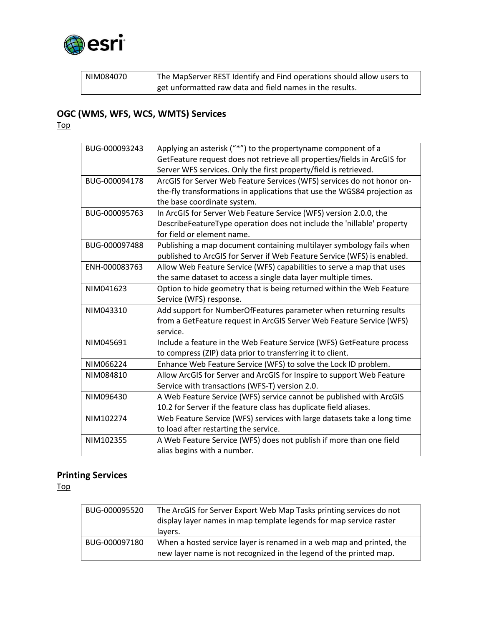

| NIM084070 | The MapServer REST Identify and Find operations should allow users to |
|-----------|-----------------------------------------------------------------------|
|           | get unformatted raw data and field names in the results.              |

## <span id="page-25-0"></span>**OGC (WMS, WFS, WCS, WMTS) Services**

[Top](#page-0-0)

| BUG-000093243 | Applying an asterisk ("*") to the propertyname component of a<br>GetFeature request does not retrieve all properties/fields in ArcGIS for |
|---------------|-------------------------------------------------------------------------------------------------------------------------------------------|
|               | Server WFS services. Only the first property/field is retrieved.                                                                          |
| BUG-000094178 | ArcGIS for Server Web Feature Services (WFS) services do not honor on-                                                                    |
|               | the-fly transformations in applications that use the WGS84 projection as                                                                  |
|               | the base coordinate system.                                                                                                               |
| BUG-000095763 | In ArcGIS for Server Web Feature Service (WFS) version 2.0.0, the                                                                         |
|               | DescribeFeatureType operation does not include the 'nillable' property                                                                    |
|               | for field or element name.                                                                                                                |
| BUG-000097488 | Publishing a map document containing multilayer symbology fails when                                                                      |
|               | published to ArcGIS for Server if Web Feature Service (WFS) is enabled.                                                                   |
| ENH-000083763 | Allow Web Feature Service (WFS) capabilities to serve a map that uses                                                                     |
|               | the same dataset to access a single data layer multiple times.                                                                            |
| NIM041623     | Option to hide geometry that is being returned within the Web Feature                                                                     |
|               | Service (WFS) response.                                                                                                                   |
| NIM043310     | Add support for NumberOfFeatures parameter when returning results                                                                         |
|               | from a GetFeature request in ArcGIS Server Web Feature Service (WFS)                                                                      |
|               | service.                                                                                                                                  |
| NIM045691     | Include a feature in the Web Feature Service (WFS) GetFeature process                                                                     |
|               | to compress (ZIP) data prior to transferring it to client.                                                                                |
| NIM066224     | Enhance Web Feature Service (WFS) to solve the Lock ID problem.                                                                           |
| NIM084810     | Allow ArcGIS for Server and ArcGIS for Inspire to support Web Feature                                                                     |
|               | Service with transactions (WFS-T) version 2.0.                                                                                            |
| NIM096430     | A Web Feature Service (WFS) service cannot be published with ArcGIS                                                                       |
|               | 10.2 for Server if the feature class has duplicate field aliases.                                                                         |
| NIM102274     | Web Feature Service (WFS) services with large datasets take a long time                                                                   |
|               | to load after restarting the service.                                                                                                     |
| NIM102355     | A Web Feature Service (WFS) does not publish if more than one field                                                                       |
|               | alias begins with a number.                                                                                                               |

# <span id="page-25-1"></span>**Printing Services**

| BUG-000095520 | The ArcGIS for Server Export Web Map Tasks printing services do not<br>display layer names in map template legends for map service raster  |
|---------------|--------------------------------------------------------------------------------------------------------------------------------------------|
|               | layers.                                                                                                                                    |
| BUG-000097180 | When a hosted service layer is renamed in a web map and printed, the<br>new layer name is not recognized in the legend of the printed map. |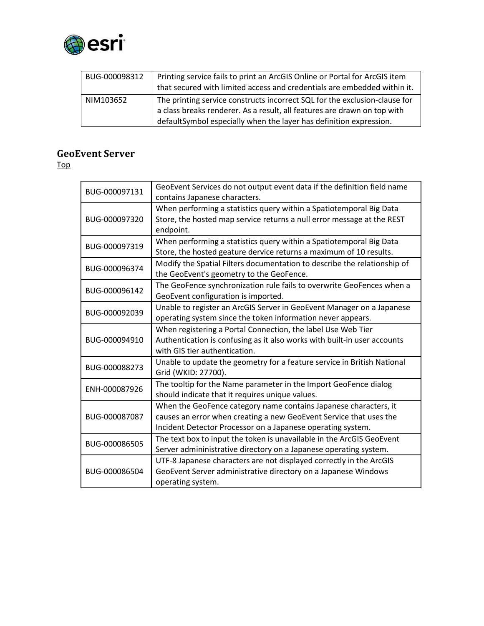

| BUG-000098312 | Printing service fails to print an ArcGIS Online or Portal for ArcGIS item<br>that secured with limited access and credentials are embedded within it. |
|---------------|--------------------------------------------------------------------------------------------------------------------------------------------------------|
| NIM103652     | The printing service constructs incorrect SQL for the exclusion-clause for                                                                             |
|               | a class breaks renderer. As a result, all features are drawn on top with                                                                               |
|               | defaultSymbol especially when the layer has definition expression.                                                                                     |

### <span id="page-26-0"></span>**GeoEvent Server**

| BUG-000097131 | GeoEvent Services do not output event data if the definition field name<br>contains Japanese characters.                                                                                              |
|---------------|-------------------------------------------------------------------------------------------------------------------------------------------------------------------------------------------------------|
| BUG-000097320 | When performing a statistics query within a Spatiotemporal Big Data<br>Store, the hosted map service returns a null error message at the REST<br>endpoint.                                            |
| BUG-000097319 | When performing a statistics query within a Spatiotemporal Big Data<br>Store, the hosted geature dervice returns a maximum of 10 results.                                                             |
| BUG-000096374 | Modify the Spatial Filters documentation to describe the relationship of<br>the GeoEvent's geometry to the GeoFence.                                                                                  |
| BUG-000096142 | The GeoFence synchronization rule fails to overwrite GeoFences when a<br>GeoEvent configuration is imported.                                                                                          |
| BUG-000092039 | Unable to register an ArcGIS Server in GeoEvent Manager on a Japanese<br>operating system since the token information never appears.                                                                  |
| BUG-000094910 | When registering a Portal Connection, the label Use Web Tier<br>Authentication is confusing as it also works with built-in user accounts<br>with GIS tier authentication.                             |
| BUG-000088273 | Unable to update the geometry for a feature service in British National<br>Grid (WKID: 27700).                                                                                                        |
| ENH-000087926 | The tooltip for the Name parameter in the Import GeoFence dialog<br>should indicate that it requires unique values.                                                                                   |
| BUG-000087087 | When the GeoFence category name contains Japanese characters, it<br>causes an error when creating a new GeoEvent Service that uses the<br>Incident Detector Processor on a Japanese operating system. |
| BUG-000086505 | The text box to input the token is unavailable in the ArcGIS GeoEvent<br>Server admininistrative directory on a Japanese operating system.                                                            |
| BUG-000086504 | UTF-8 Japanese characters are not displayed correctly in the ArcGIS<br>GeoEvent Server administrative directory on a Japanese Windows<br>operating system.                                            |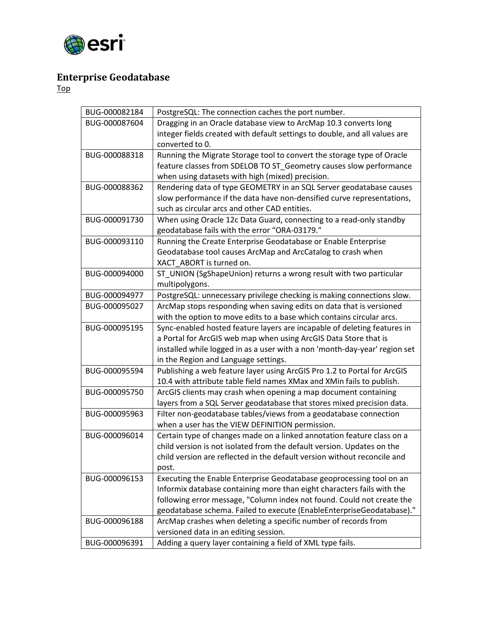

## <span id="page-27-0"></span>**Enterprise Geodatabase**

| BUG-000082184 | PostgreSQL: The connection caches the port number.                         |
|---------------|----------------------------------------------------------------------------|
| BUG-000087604 | Dragging in an Oracle database view to ArcMap 10.3 converts long           |
|               | integer fields created with default settings to double, and all values are |
|               | converted to 0.                                                            |
| BUG-000088318 | Running the Migrate Storage tool to convert the storage type of Oracle     |
|               | feature classes from SDELOB TO ST_Geometry causes slow performance         |
|               | when using datasets with high (mixed) precision.                           |
| BUG-000088362 | Rendering data of type GEOMETRY in an SQL Server geodatabase causes        |
|               | slow performance if the data have non-densified curve representations,     |
|               | such as circular arcs and other CAD entities.                              |
| BUG-000091730 | When using Oracle 12c Data Guard, connecting to a read-only standby        |
|               | geodatabase fails with the error "ORA-03179."                              |
| BUG-000093110 | Running the Create Enterprise Geodatabase or Enable Enterprise             |
|               | Geodatabase tool causes ArcMap and ArcCatalog to crash when                |
|               | XACT ABORT is turned on.                                                   |
| BUG-000094000 | ST_UNION (SgShapeUnion) returns a wrong result with two particular         |
|               | multipolygons.                                                             |
| BUG-000094977 | PostgreSQL: unnecessary privilege checking is making connections slow.     |
| BUG-000095027 | ArcMap stops responding when saving edits on data that is versioned        |
|               | with the option to move edits to a base which contains circular arcs.      |
| BUG-000095195 | Sync-enabled hosted feature layers are incapable of deleting features in   |
|               | a Portal for ArcGIS web map when using ArcGIS Data Store that is           |
|               | installed while logged in as a user with a non 'month-day-year' region set |
|               | in the Region and Language settings.                                       |
| BUG-000095594 | Publishing a web feature layer using ArcGIS Pro 1.2 to Portal for ArcGIS   |
|               | 10.4 with attribute table field names XMax and XMin fails to publish.      |
| BUG-000095750 | ArcGIS clients may crash when opening a map document containing            |
|               | layers from a SQL Server geodatabase that stores mixed precision data.     |
| BUG-000095963 | Filter non-geodatabase tables/views from a geodatabase connection          |
|               | when a user has the VIEW DEFINITION permission.                            |
| BUG-000096014 | Certain type of changes made on a linked annotation feature class on a     |
|               | child version is not isolated from the default version. Updates on the     |
|               | child version are reflected in the default version without reconcile and   |
|               | post.                                                                      |
| BUG-000096153 | Executing the Enable Enterprise Geodatabase geoprocessing tool on an       |
|               | Informix database containing more than eight characters fails with the     |
|               | following error message, "Column index not found. Could not create the     |
|               | geodatabase schema. Failed to execute (EnableEnterpriseGeodatabase)."      |
| BUG-000096188 | ArcMap crashes when deleting a specific number of records from             |
|               | versioned data in an editing session.                                      |
| BUG-000096391 | Adding a query layer containing a field of XML type fails.                 |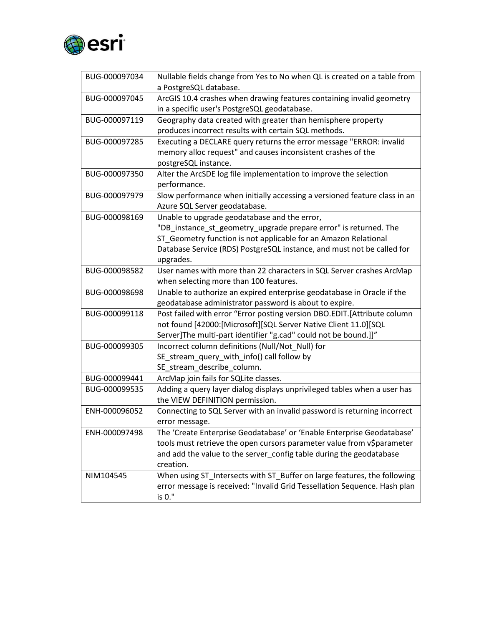

| BUG-000097034 | Nullable fields change from Yes to No when QL is created on a table from<br>a PostgreSQL database.                                                                                                                                                                         |
|---------------|----------------------------------------------------------------------------------------------------------------------------------------------------------------------------------------------------------------------------------------------------------------------------|
| BUG-000097045 | ArcGIS 10.4 crashes when drawing features containing invalid geometry<br>in a specific user's PostgreSQL geodatabase.                                                                                                                                                      |
| BUG-000097119 | Geography data created with greater than hemisphere property<br>produces incorrect results with certain SQL methods.                                                                                                                                                       |
| BUG-000097285 | Executing a DECLARE query returns the error message "ERROR: invalid<br>memory alloc request" and causes inconsistent crashes of the<br>postgreSQL instance.                                                                                                                |
| BUG-000097350 | Alter the ArcSDE log file implementation to improve the selection<br>performance.                                                                                                                                                                                          |
| BUG-000097979 | Slow performance when initially accessing a versioned feature class in an<br>Azure SQL Server geodatabase.                                                                                                                                                                 |
| BUG-000098169 | Unable to upgrade geodatabase and the error,<br>"DB_instance_st_geometry_upgrade prepare error" is returned. The<br>ST_Geometry function is not applicable for an Amazon Relational<br>Database Service (RDS) PostgreSQL instance, and must not be called for<br>upgrades. |
| BUG-000098582 | User names with more than 22 characters in SQL Server crashes ArcMap<br>when selecting more than 100 features.                                                                                                                                                             |
| BUG-000098698 | Unable to authorize an expired enterprise geodatabase in Oracle if the<br>geodatabase administrator password is about to expire.                                                                                                                                           |
| BUG-000099118 | Post failed with error "Error posting version DBO.EDIT.[Attribute column<br>not found [42000:[Microsoft][SQL Server Native Client 11.0][SQL<br>Server]The multi-part identifier "g.cad" could not be bound.]]"                                                             |
| BUG-000099305 | Incorrect column definitions (Null/Not_Null) for<br>SE_stream_query_with_info() call follow by<br>SE_stream_describe_column.                                                                                                                                               |
| BUG-000099441 | ArcMap join fails for SQLite classes.                                                                                                                                                                                                                                      |
| BUG-000099535 | Adding a query layer dialog displays unprivileged tables when a user has<br>the VIEW DEFINITION permission.                                                                                                                                                                |
| ENH-000096052 | Connecting to SQL Server with an invalid password is returning incorrect<br>error message.                                                                                                                                                                                 |
| ENH-000097498 | The 'Create Enterprise Geodatabase' or 'Enable Enterprise Geodatabase'<br>tools must retrieve the open cursors parameter value from v\$parameter                                                                                                                           |
|               | and add the value to the server_config table during the geodatabase<br>creation.                                                                                                                                                                                           |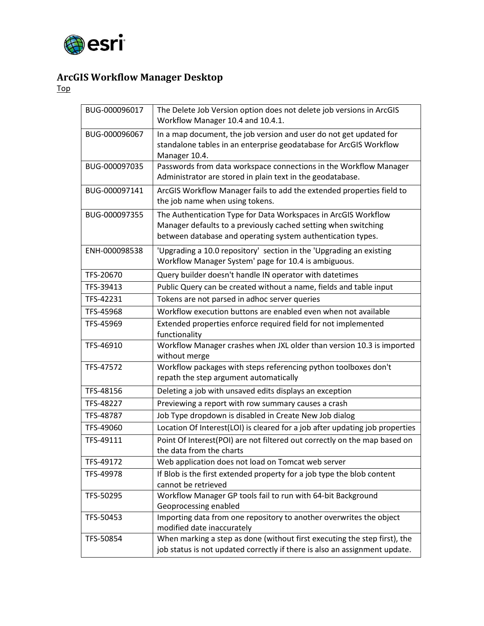

# <span id="page-29-0"></span>**ArcGIS Workflow Manager Desktop**

| BUG-000096017 | The Delete Job Version option does not delete job versions in ArcGIS<br>Workflow Manager 10.4 and 10.4.1.                                                                                       |
|---------------|-------------------------------------------------------------------------------------------------------------------------------------------------------------------------------------------------|
| BUG-000096067 | In a map document, the job version and user do not get updated for<br>standalone tables in an enterprise geodatabase for ArcGIS Workflow<br>Manager 10.4.                                       |
| BUG-000097035 | Passwords from data workspace connections in the Workflow Manager<br>Administrator are stored in plain text in the geodatabase.                                                                 |
| BUG-000097141 | ArcGIS Workflow Manager fails to add the extended properties field to<br>the job name when using tokens.                                                                                        |
| BUG-000097355 | The Authentication Type for Data Workspaces in ArcGIS Workflow<br>Manager defaults to a previously cached setting when switching<br>between database and operating system authentication types. |
| ENH-000098538 | 'Upgrading a 10.0 repository' section in the 'Upgrading an existing<br>Workflow Manager System' page for 10.4 is ambiguous.                                                                     |
| TFS-20670     | Query builder doesn't handle IN operator with datetimes                                                                                                                                         |
| TFS-39413     | Public Query can be created without a name, fields and table input                                                                                                                              |
| TFS-42231     | Tokens are not parsed in adhoc server queries                                                                                                                                                   |
| TFS-45968     | Workflow execution buttons are enabled even when not available                                                                                                                                  |
| TFS-45969     | Extended properties enforce required field for not implemented<br>functionality                                                                                                                 |
| TFS-46910     | Workflow Manager crashes when JXL older than version 10.3 is imported<br>without merge                                                                                                          |
| TFS-47572     | Workflow packages with steps referencing python toolboxes don't<br>repath the step argument automatically                                                                                       |
| TFS-48156     | Deleting a job with unsaved edits displays an exception                                                                                                                                         |
| TFS-48227     | Previewing a report with row summary causes a crash                                                                                                                                             |
| TFS-48787     | Job Type dropdown is disabled in Create New Job dialog                                                                                                                                          |
| TFS-49060     | Location Of Interest(LOI) is cleared for a job after updating job properties                                                                                                                    |
| TFS-49111     | Point Of Interest(POI) are not filtered out correctly on the map based on<br>the data from the charts                                                                                           |
| TFS-49172     | Web application does not load on Tomcat web server                                                                                                                                              |
| TFS-49978     | If Blob is the first extended property for a job type the blob content<br>cannot be retrieved                                                                                                   |
| TFS-50295     | Workflow Manager GP tools fail to run with 64-bit Background<br>Geoprocessing enabled                                                                                                           |
| TFS-50453     | Importing data from one repository to another overwrites the object<br>modified date inaccurately                                                                                               |
| TFS-50854     | When marking a step as done (without first executing the step first), the<br>job status is not updated correctly if there is also an assignment update.                                         |